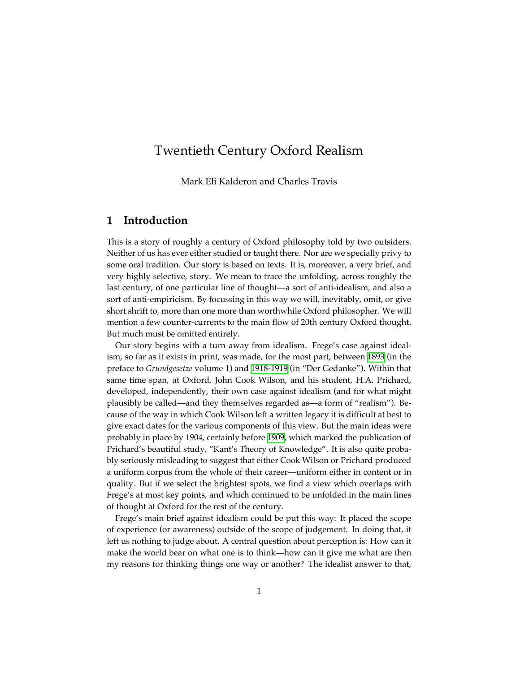# <span id="page-0-0"></span>Twentieth Century Oxford Realism

Mark Eli Kalderon and Charles Travis

## **1 Introduction**

This is a story of roughly a century of Oxford philosophy told by two outsiders. Neither of us has ever either studied or taught there. Nor are we specially privy to some oral tradition. Our story is based on texts. It is, moreover, a very brief, and very highly selective, story. We mean to trace the unfolding, across roughly the last century, of one particular line of thought—a sort of anti-idealism, and also a sort of anti-empiricism. By focussing in this way we will, inevitably, omit, or give short shrift to, more than one more than worthwhile Oxford philosopher. We will mention a few counter-currents to the main flow of 20th century Oxford thought. But much must be omitted entirely.

Our story begins with a turn away from idealism. Frege's case against idealism, so far as it exists in print, was made, for the most part, between [1893](#page-45-0) (in the preface to *Grundgesetze* volume 1) and [1918-1919](#page-46-0) (in "Der Gedanke"). Within that same time span, at Oxford, John Cook Wilson, and his student, H.A. Prichard, developed, independently, their own case against idealism (and for what might plausibly be called—and they themselves regarded as—a form of "realism"). Because of the way in which Cook Wilson left a written legacy it is difficult at best to give exact dates for the various components of this view. But the main ideas were probably in place by 1904, certainly before [1909](#page-46-1), which marked the publication of Prichard's beautiful study, "Kant's Theory of Knowledge". It is also quite probably seriously misleading to suggest that either Cook Wilson or Prichard produced a uniform corpus from the whole of their career—uniform either in content or in quality. But if we select the brightest spots, we find a view which overlaps with Frege's at most key points, and which continued to be unfolded in the main lines of thought at Oxford for the rest of the century.

Frege's main brief against idealism could be put this way: It placed the scope of experience (or awareness) outside of the scope of judgement. In doing that, it left us nothing to judge about. A central question about perception is: How can it make the world bear on what one is to think—how can it give me what are then my reasons for thinking things one way or another? The idealist answer to that,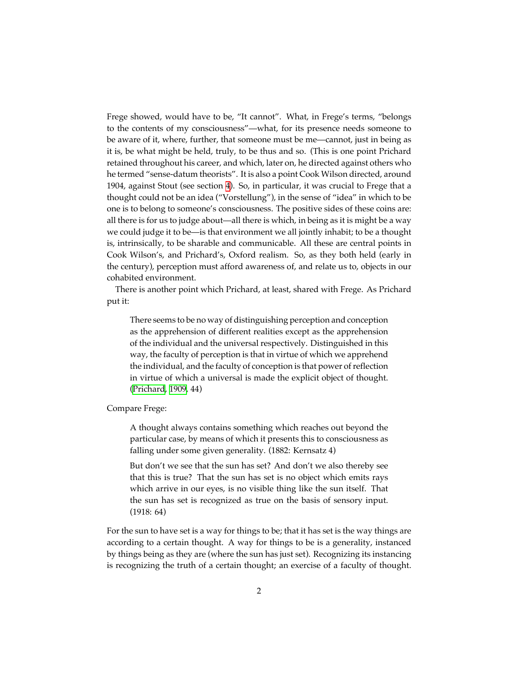<span id="page-1-0"></span>Frege showed, would have to be, "It cannot". What, in Frege's terms, "belongs to the contents of my consciousness"—what, for its presence needs someone to be aware of it, where, further, that someone must be me—cannot, just in being as it is, be what might be held, truly, to be thus and so. (This is one point Prichard retained throughout his career, and which, later on, he directed against others who he termed "sense-datum theorists". It is also a point Cook Wilson directed, around 1904, against Stout (see section [4\)](#page-30-0). So, in particular, it was crucial to Frege that a thought could not be an idea ("Vorstellung"), in the sense of "idea" in which to be one is to belong to someone's consciousness. The positive sides of these coins are: all there is for us to judge about—all there is which, in being as it is might be a way we could judge it to be—is that environment we all jointly inhabit; to be a thought is, intrinsically, to be sharable and communicable. All these are central points in Cook Wilson's, and Prichard's, Oxford realism. So, as they both held (early in the century), perception must afford awareness of, and relate us to, objects in our cohabited environment.

There is another point which Prichard, at least, shared with Frege. As Prichard put it:

There seems to be no way of distinguishing perception and conception as the apprehension of different realities except as the apprehension of the individual and the universal respectively. Distinguished in this way, the faculty of perception is that in virtue of which we apprehend the individual, and the faculty of conception is that power of reflection in virtue of which a universal is made the explicit object of thought. [\(Prichard,](#page-46-1) [1909](#page-46-1), 44)

Compare Frege:

A thought always contains something which reaches out beyond the particular case, by means of which it presents this to consciousness as falling under some given generality. (1882: Kernsatz 4)

But don't we see that the sun has set? And don't we also thereby see that this is true? That the sun has set is no object which emits rays which arrive in our eyes, is no visible thing like the sun itself. That the sun has set is recognized as true on the basis of sensory input. (1918: 64)

For the sun to have set is a way for things to be; that it has set is the way things are according to a certain thought. A way for things to be is a generality, instanced by things being as they are (where the sun has just set). Recognizing its instancing is recognizing the truth of a certain thought; an exercise of a faculty of thought.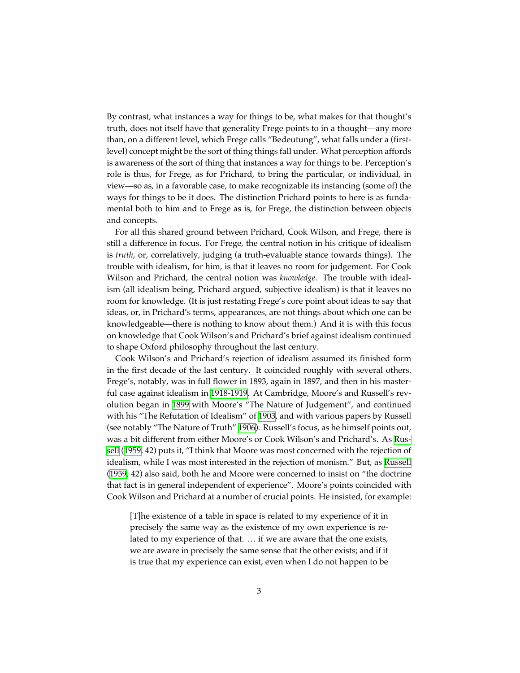<span id="page-2-0"></span>By contrast, what instances a way for things to be, what makes for that thought's truth, does not itself have that generality Frege points to in a thought—any more than, on a different level, which Frege calls "Bedeutung", what falls under a (firstlevel) concept might be the sort of thing things fall under. What perception affords is awareness of the sort of thing that instances a way for things to be. Perception's role is thus, for Frege, as for Prichard, to bring the particular, or individual, in view—so as, in a favorable case, to make recognizable its instancing (some of) the ways for things to be it does. The distinction Prichard points to here is as fundamental both to him and to Frege as is, for Frege, the distinction between objects and concepts.

For all this shared ground between Prichard, Cook Wilson, and Frege, there is still a difference in focus. For Frege, the central notion in his critique of idealism is *truth*, or, correlatively, judging (a truth-evaluable stance towards things). The trouble with idealism, for him, is that it leaves no room for judgement. For Cook Wilson and Prichard, the central notion was *knowledge*. The trouble with idealism (all idealism being, Prichard argued, subjective idealism) is that it leaves no room for knowledge. (It is just restating Frege's core point about ideas to say that ideas, or, in Prichard's terms, appearances, are not things about which one can be knowledgeable—there is nothing to know about them.) And it is with this focus on knowledge that Cook Wilson's and Prichard's brief against idealism continued to shape Oxford philosophy throughout the last century.

Cook Wilson's and Prichard's rejection of idealism assumed its finished form in the first decade of the last century. It coincided roughly with several others. Frege's, notably, was in full flower in 1893, again in 1897, and then in his masterful case against idealism in [1918-1919.](#page-46-0) At Cambridge, Moore's and Russell's revolution began in [1899](#page-46-2) with Moore's "The Nature of Judgement", and continued with his "The Refutation of Idealism" of [1903](#page-46-3), and with various papers by Russell (see notably "The Nature of Truth" [1906\)](#page-47-0). Russell's focus, as he himself points out, was a bit different from either Moore's or Cook Wilson's and Prichard's. As [Rus](#page-47-1)[sell](#page-47-1) [\(1959](#page-47-1), 42) puts it, "I think that Moore was most concerned with the rejection of idealism, while I was most interested in the rejection of monism." But, as [Russell](#page-47-1) [\(1959](#page-47-1), 42) also said, both he and Moore were concerned to insist on "the doctrine that fact is in general independent of experience". Moore's points coincided with Cook Wilson and Prichard at a number of crucial points. He insisted, for example:

[T]he existence of a table in space is related to my experience of it in precisely the same way as the existence of my own experience is related to my experience of that. … if we are aware that the one exists, we are aware in precisely the same sense that the other exists; and if it is true that my experience can exist, even when I do not happen to be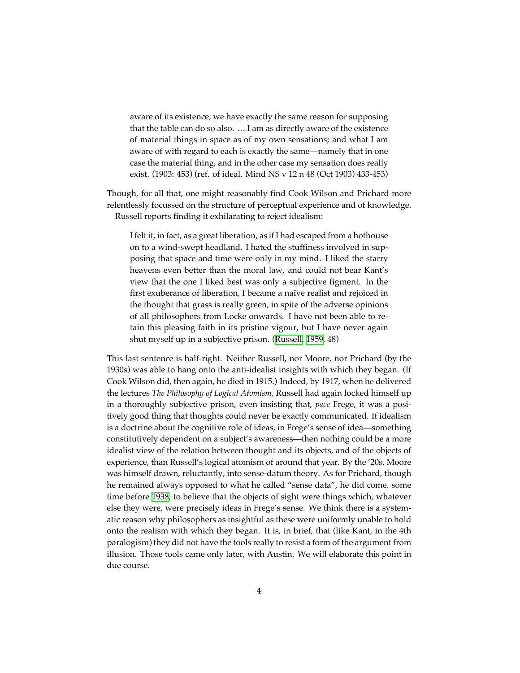<span id="page-3-0"></span>aware of its existence, we have exactly the same reason for supposing that the table can do so also. … I am as directly aware of the existence of material things in space as of my own sensations; and what I am aware of with regard to each is exactly the same—namely that in one case the material thing, and in the other case my sensation does really exist. (1903: 453) (ref. of ideal. Mind NS v 12 n 48 (Oct 1903) 433-453)

Though, for all that, one might reasonably find Cook Wilson and Prichard more relentlessly focussed on the structure of perceptual experience and of knowledge. Russell reports finding it exhilarating to reject idealism:

I felt it, in fact, as a great liberation, as if I had escaped from a hothouse on to a wind-swept headland. I hated the stuffiness involved in supposing that space and time were only in my mind. I liked the starry heavens even better than the moral law, and could not bear Kant's view that the one I liked best was only a subjective figment. In the first exuberance of liberation, I became a naïve realist and rejoiced in the thought that grass is really green, in spite of the adverse opinions of all philosophers from Locke onwards. I have not been able to retain this pleasing faith in its pristine vigour, but I have never again shut myself up in a subjective prison. [\(Russell,](#page-47-1) [1959,](#page-47-1) 48)

This last sentence is half-right. Neither Russell, nor Moore, nor Prichard (by the 1930s) was able to hang onto the anti-idealist insights with which they began. (If Cook Wilson did, then again, he died in 1915.) Indeed, by 1917, when he delivered the lectures *The Philosophy of Logical Atomism*, Russell had again locked himself up in a thoroughly subjective prison, even insisting that, *pace* Frege, it was a positively good thing that thoughts could never be exactly communicated. If idealism is a doctrine about the cognitive role of ideas, in Frege's sense of idea—something constitutively dependent on a subject's awareness—then nothing could be a more idealist view of the relation between thought and its objects, and of the objects of experience, than Russell's logical atomism of around that year. By the '20s, Moore was himself drawn, reluctantly, into sense-datum theory. As for Prichard, though he remained always opposed to what he called "sense data", he did come, some time before [1938,](#page-46-4) to believe that the objects of sight were things which, whatever else they were, were precisely ideas in Frege's sense. We think there is a systematic reason why philosophers as insightful as these were uniformly unable to hold onto the realism with which they began. It is, in brief, that (like Kant, in the 4th paralogism) they did not have the tools really to resist a form of the argument from illusion. Those tools came only later, with Austin. We will elaborate this point in due course.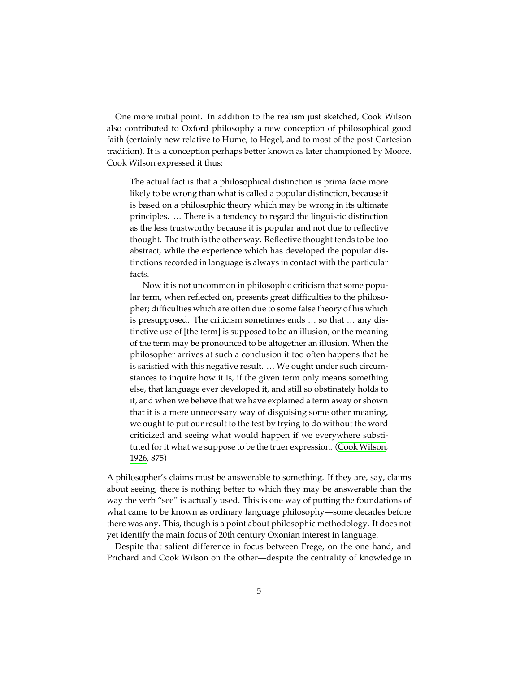<span id="page-4-0"></span>One more initial point. In addition to the realism just sketched, Cook Wilson also contributed to Oxford philosophy a new conception of philosophical good faith (certainly new relative to Hume, to Hegel, and to most of the post-Cartesian tradition). It is a conception perhaps better known as later championed by Moore. Cook Wilson expressed it thus:

The actual fact is that a philosophical distinction is prima facie more likely to be wrong than what is called a popular distinction, because it is based on a philosophic theory which may be wrong in its ultimate principles. … There is a tendency to regard the linguistic distinction as the less trustworthy because it is popular and not due to reflective thought. The truth is the other way. Reflective thought tends to be too abstract, while the experience which has developed the popular distinctions recorded in language is always in contact with the particular facts.

Now it is not uncommon in philosophic criticism that some popular term, when reflected on, presents great difficulties to the philosopher; difficulties which are often due to some false theory of his which is presupposed. The criticism sometimes ends … so that … any distinctive use of [the term] is supposed to be an illusion, or the meaning of the term may be pronounced to be altogether an illusion. When the philosopher arrives at such a conclusion it too often happens that he is satisfied with this negative result. … We ought under such circumstances to inquire how it is, if the given term only means something else, that language ever developed it, and still so obstinately holds to it, and when we believe that we have explained a term away or shown that it is a mere unnecessary way of disguising some other meaning, we ought to put our result to the test by trying to do without the word criticized and seeing what would happen if we everywhere substituted for it what we suppose to be the truer expression.([Cook Wilson,](#page-45-1) [1926](#page-45-1), 875)

A philosopher's claims must be answerable to something. If they are, say, claims about seeing, there is nothing better to which they may be answerable than the way the verb "see" is actually used. This is one way of putting the foundations of what came to be known as ordinary language philosophy—some decades before there was any. This, though is a point about philosophic methodology. It does not yet identify the main focus of 20th century Oxonian interest in language.

Despite that salient difference in focus between Frege, on the one hand, and Prichard and Cook Wilson on the other—despite the centrality of knowledge in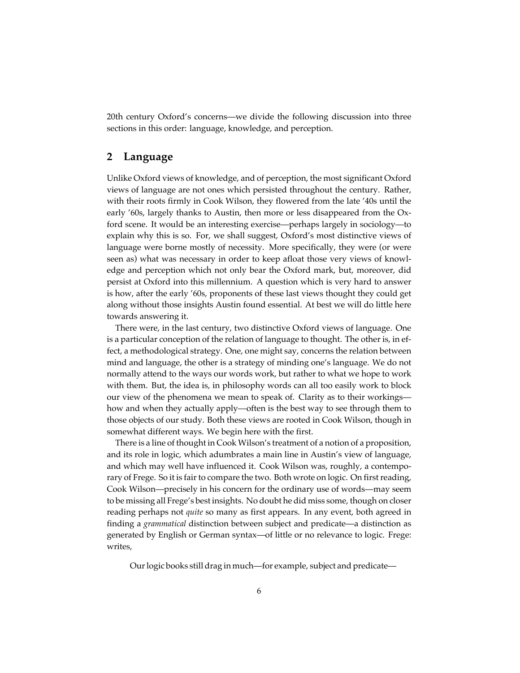20th century Oxford's concerns—we divide the following discussion into three sections in this order: language, knowledge, and perception.

#### **2 Language**

Unlike Oxford views of knowledge, and of perception, the most significant Oxford views of language are not ones which persisted throughout the century. Rather, with their roots firmly in Cook Wilson, they flowered from the late '40s until the early '60s, largely thanks to Austin, then more or less disappeared from the Oxford scene. It would be an interesting exercise—perhaps largely in sociology—to explain why this is so. For, we shall suggest, Oxford's most distinctive views of language were borne mostly of necessity. More specifically, they were (or were seen as) what was necessary in order to keep afloat those very views of knowledge and perception which not only bear the Oxford mark, but, moreover, did persist at Oxford into this millennium. A question which is very hard to answer is how, after the early '60s, proponents of these last views thought they could get along without those insights Austin found essential. At best we will do little here towards answering it.

There were, in the last century, two distinctive Oxford views of language. One is a particular conception of the relation of language to thought. The other is, in effect, a methodological strategy. One, one might say, concerns the relation between mind and language, the other is a strategy of minding one's language. We do not normally attend to the ways our words work, but rather to what we hope to work with them. But, the idea is, in philosophy words can all too easily work to block our view of the phenomena we mean to speak of. Clarity as to their workings how and when they actually apply—often is the best way to see through them to those objects of our study. Both these views are rooted in Cook Wilson, though in somewhat different ways. We begin here with the first.

There is a line of thought in Cook Wilson's treatment of a notion of a proposition, and its role in logic, which adumbrates a main line in Austin's view of language, and which may well have influenced it. Cook Wilson was, roughly, a contemporary of Frege. So it is fair to compare the two. Both wrote on logic. On first reading, Cook Wilson—precisely in his concern for the ordinary use of words—may seem to be missing all Frege's best insights. No doubt he did miss some, though on closer reading perhaps not *quite* so many as first appears. In any event, both agreed in finding a *grammatical* distinction between subject and predicate—a distinction as generated by English or German syntax—of little or no relevance to logic. Frege: writes,

Our logic books still drag in much—for example, subject and predicate—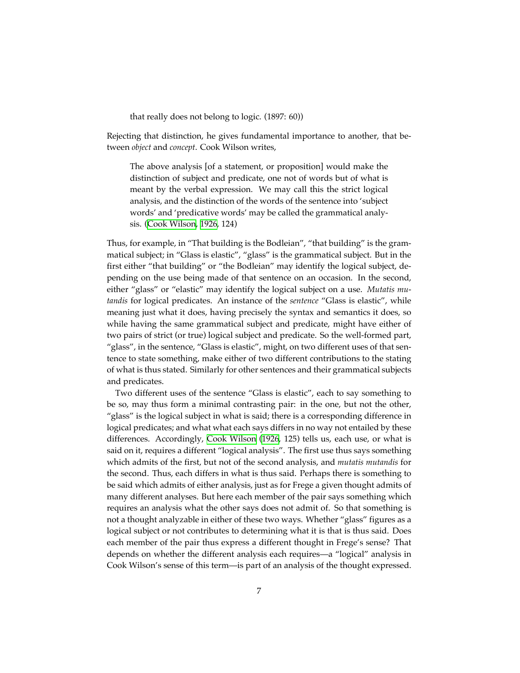<span id="page-6-0"></span>that really does not belong to logic. (1897: 60))

Rejecting that distinction, he gives fundamental importance to another, that between *object* and *concept*. Cook Wilson writes,

The above analysis [of a statement, or proposition] would make the distinction of subject and predicate, one not of words but of what is meant by the verbal expression. We may call this the strict logical analysis, and the distinction of the words of the sentence into 'subject words' and 'predicative words' may be called the grammatical analysis.([Cook Wilson,](#page-45-1) [1926,](#page-45-1) 124)

Thus, for example, in "That building is the Bodleian", "that building" is the grammatical subject; in "Glass is elastic", "glass" is the grammatical subject. But in the first either "that building" or "the Bodleian" may identify the logical subject, depending on the use being made of that sentence on an occasion. In the second, either "glass" or "elastic" may identify the logical subject on a use. *Mutatis mutandis* for logical predicates. An instance of the *sentence* "Glass is elastic", while meaning just what it does, having precisely the syntax and semantics it does, so while having the same grammatical subject and predicate, might have either of two pairs of strict (or true) logical subject and predicate. So the well-formed part, "glass", in the sentence, "Glass is elastic", might, on two different uses of that sentence to state something, make either of two different contributions to the stating of what is thus stated. Similarly for other sentences and their grammatical subjects and predicates.

Two different uses of the sentence "Glass is elastic", each to say something to be so, may thus form a minimal contrasting pair: in the one, but not the other, "glass" is the logical subject in what is said; there is a corresponding difference in logical predicates; and what what each says differs in no way not entailed by these differences. Accordingly, [Cook Wilson](#page-45-1) ([1926,](#page-45-1) 125) tells us, each use, or what is said on it, requires a different "logical analysis". The first use thus says something which admits of the first, but not of the second analysis, and *mutatis mutandis* for the second. Thus, each differs in what is thus said. Perhaps there is something to be said which admits of either analysis, just as for Frege a given thought admits of many different analyses. But here each member of the pair says something which requires an analysis what the other says does not admit of. So that something is not a thought analyzable in either of these two ways. Whether "glass" figures as a logical subject or not contributes to determining what it is that is thus said. Does each member of the pair thus express a different thought in Frege's sense? That depends on whether the different analysis each requires—a "logical" analysis in Cook Wilson's sense of this term—is part of an analysis of the thought expressed.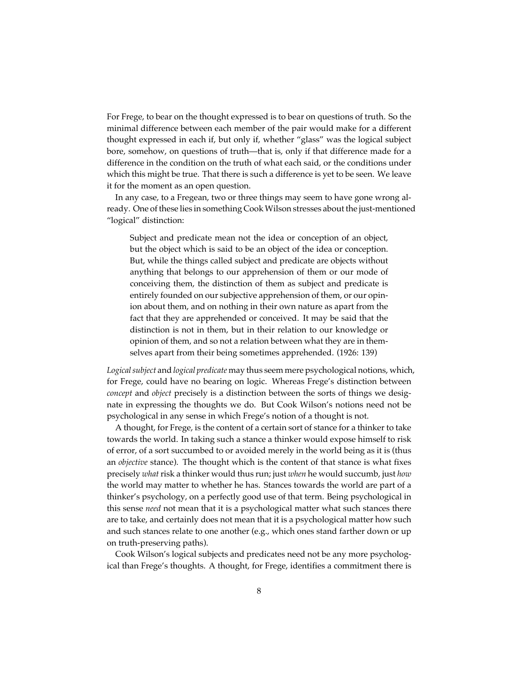For Frege, to bear on the thought expressed is to bear on questions of truth. So the minimal difference between each member of the pair would make for a different thought expressed in each if, but only if, whether "glass" was the logical subject bore, somehow, on questions of truth—that is, only if that difference made for a difference in the condition on the truth of what each said, or the conditions under which this might be true. That there is such a difference is yet to be seen. We leave it for the moment as an open question.

In any case, to a Fregean, two or three things may seem to have gone wrong already. One of these lies in something Cook Wilson stresses about the just-mentioned "logical" distinction:

Subject and predicate mean not the idea or conception of an object, but the object which is said to be an object of the idea or conception. But, while the things called subject and predicate are objects without anything that belongs to our apprehension of them or our mode of conceiving them, the distinction of them as subject and predicate is entirely founded on our subjective apprehension of them, or our opinion about them, and on nothing in their own nature as apart from the fact that they are apprehended or conceived. It may be said that the distinction is not in them, but in their relation to our knowledge or opinion of them, and so not a relation between what they are in themselves apart from their being sometimes apprehended. (1926: 139)

*Logical subject* and *logical predicate* may thus seem mere psychological notions, which, for Frege, could have no bearing on logic. Whereas Frege's distinction between *concept* and *object* precisely is a distinction between the sorts of things we designate in expressing the thoughts we do. But Cook Wilson's notions need not be psychological in any sense in which Frege's notion of a thought is not.

A thought, for Frege, is the content of a certain sort of stance for a thinker to take towards the world. In taking such a stance a thinker would expose himself to risk of error, of a sort succumbed to or avoided merely in the world being as it is (thus an *objective* stance). The thought which is the content of that stance is what fixes precisely *what* risk a thinker would thus run; just *when* he would succumb, just *how* the world may matter to whether he has. Stances towards the world are part of a thinker's psychology, on a perfectly good use of that term. Being psychological in this sense *need* not mean that it is a psychological matter what such stances there are to take, and certainly does not mean that it is a psychological matter how such and such stances relate to one another (e.g., which ones stand farther down or up on truth-preserving paths).

Cook Wilson's logical subjects and predicates need not be any more psychological than Frege's thoughts. A thought, for Frege, identifies a commitment there is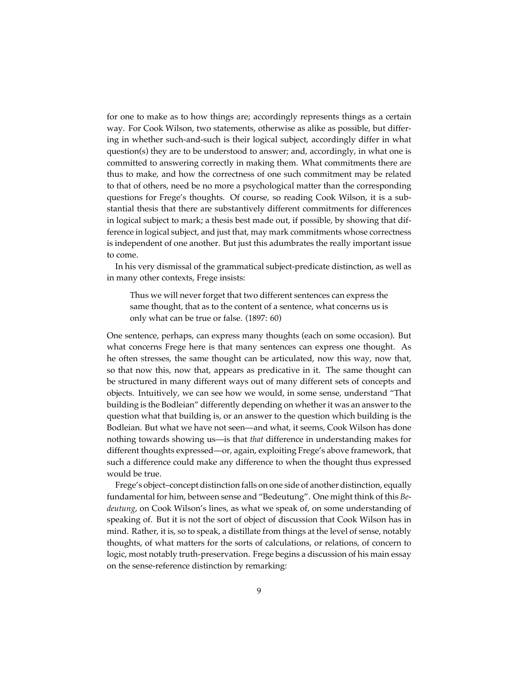for one to make as to how things are; accordingly represents things as a certain way. For Cook Wilson, two statements, otherwise as alike as possible, but differing in whether such-and-such is their logical subject, accordingly differ in what question(s) they are to be understood to answer; and, accordingly, in what one is committed to answering correctly in making them. What commitments there are thus to make, and how the correctness of one such commitment may be related to that of others, need be no more a psychological matter than the corresponding questions for Frege's thoughts. Of course, so reading Cook Wilson, it is a substantial thesis that there are substantively different commitments for differences in logical subject to mark; a thesis best made out, if possible, by showing that difference in logical subject, and just that, may mark commitments whose correctness is independent of one another. But just this adumbrates the really important issue to come.

In his very dismissal of the grammatical subject-predicate distinction, as well as in many other contexts, Frege insists:

Thus we will never forget that two different sentences can express the same thought, that as to the content of a sentence, what concerns us is only what can be true or false. (1897: 60)

One sentence, perhaps, can express many thoughts (each on some occasion). But what concerns Frege here is that many sentences can express one thought. As he often stresses, the same thought can be articulated, now this way, now that, so that now this, now that, appears as predicative in it. The same thought can be structured in many different ways out of many different sets of concepts and objects. Intuitively, we can see how we would, in some sense, understand "That building is the Bodleian" differently depending on whether it was an answer to the question what that building is, or an answer to the question which building is the Bodleian. But what we have not seen—and what, it seems, Cook Wilson has done nothing towards showing us—is that *that* difference in understanding makes for different thoughts expressed—or, again, exploiting Frege's above framework, that such a difference could make any difference to when the thought thus expressed would be true.

Frege's object–concept distinction falls on one side of another distinction, equally fundamental for him, between sense and "Bedeutung". One might think of this *Bedeutung*, on Cook Wilson's lines, as what we speak of, on some understanding of speaking of. But it is not the sort of object of discussion that Cook Wilson has in mind. Rather, it is, so to speak, a distillate from things at the level of sense, notably thoughts, of what matters for the sorts of calculations, or relations, of concern to logic, most notably truth-preservation. Frege begins a discussion of his main essay on the sense-reference distinction by remarking: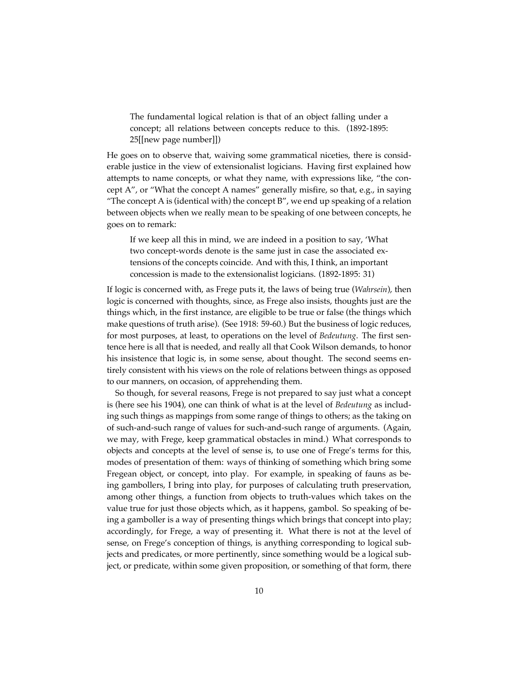The fundamental logical relation is that of an object falling under a concept; all relations between concepts reduce to this. (1892-1895: 25[[new page number]])

He goes on to observe that, waiving some grammatical niceties, there is considerable justice in the view of extensionalist logicians. Having first explained how attempts to name concepts, or what they name, with expressions like, "the concept A", or "What the concept A names" generally misfire, so that, e.g., in saying "The concept A is (identical with) the concept  $B''$ , we end up speaking of a relation between objects when we really mean to be speaking of one between concepts, he goes on to remark:

If we keep all this in mind, we are indeed in a position to say, 'What two concept-words denote is the same just in case the associated extensions of the concepts coincide. And with this, I think, an important concession is made to the extensionalist logicians. (1892-1895: 31)

If logic is concerned with, as Frege puts it, the laws of being true (*Wahrsein*), then logic is concerned with thoughts, since, as Frege also insists, thoughts just are the things which, in the first instance, are eligible to be true or false (the things which make questions of truth arise). (See 1918: 59-60.) But the business of logic reduces, for most purposes, at least, to operations on the level of *Bedeutung*. The first sentence here is all that is needed, and really all that Cook Wilson demands, to honor his insistence that logic is, in some sense, about thought. The second seems entirely consistent with his views on the role of relations between things as opposed to our manners, on occasion, of apprehending them.

So though, for several reasons, Frege is not prepared to say just what a concept is (here see his 1904), one can think of what is at the level of *Bedeutung* as including such things as mappings from some range of things to others; as the taking on of such-and-such range of values for such-and-such range of arguments. (Again, we may, with Frege, keep grammatical obstacles in mind.) What corresponds to objects and concepts at the level of sense is, to use one of Frege's terms for this, modes of presentation of them: ways of thinking of something which bring some Fregean object, or concept, into play. For example, in speaking of fauns as being gambollers, I bring into play, for purposes of calculating truth preservation, among other things, a function from objects to truth-values which takes on the value true for just those objects which, as it happens, gambol. So speaking of being a gamboller is a way of presenting things which brings that concept into play; accordingly, for Frege, a way of presenting it. What there is not at the level of sense, on Frege's conception of things, is anything corresponding to logical subjects and predicates, or more pertinently, since something would be a logical subject, or predicate, within some given proposition, or something of that form, there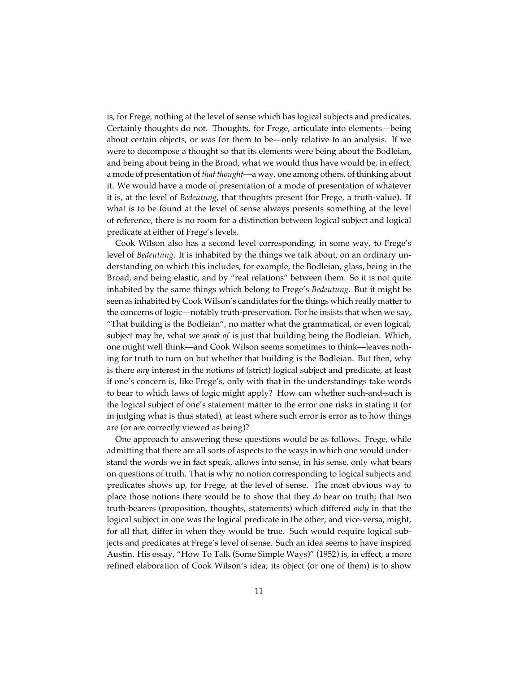is, for Frege, nothing at the level of sense which has logical subjects and predicates. Certainly thoughts do not. Thoughts, for Frege, articulate into elements—being about certain objects, or was for them to be—only relative to an analysis. If we were to decompose a thought so that its elements were being about the Bodleian, and being about being in the Broad, what we would thus have would be, in effect, a mode of presentation of *that thought*—a way, one among others, of thinking about it. We would have a mode of presentation of a mode of presentation of whatever it is, at the level of *Bedeutung*, that thoughts present (for Frege, a truth-value). If what is to be found at the level of sense always presents something at the level of reference, there is no room for a distinction between logical subject and logical predicate at either of Frege's levels.

Cook Wilson also has a second level corresponding, in some way, to Frege's level of *Bedeutung*. It is inhabited by the things we talk about, on an ordinary understanding on which this includes, for example, the Bodleian, glass, being in the Broad, and being elastic, and by "real relations" between them. So it is not quite inhabited by the same things which belong to Frege's *Bedeutung*. But it might be seen as inhabited by Cook Wilson's candidates for the things which really matter to the concerns of logic—notably truth-preservation. For he insists that when we say, "That building is the Bodleian", no matter what the grammatical, or even logical, subject may be, what we *speak of* is just that building being the Bodleian. Which, one might well think—and Cook Wilson seems sometimes to think—leaves nothing for truth to turn on but whether that building is the Bodleian. But then, why is there *any* interest in the notions of (strict) logical subject and predicate, at least if one's concern is, like Frege's, only with that in the understandings take words to bear to which laws of logic might apply? How can whether such-and-such is the logical subject of one's statement matter to the error one risks in stating it (or in judging what is thus stated), at least where such error is error as to how things are (or are correctly viewed as being)?

One approach to answering these questions would be as follows. Frege, while admitting that there are all sorts of aspects to the ways in which one would understand the words we in fact speak, allows into sense, in his sense, only what bears on questions of truth. That is why no notion corresponding to logical subjects and predicates shows up, for Frege, at the level of sense. The most obvious way to place those notions there would be to show that they *do* bear on truth; that two truth-bearers (proposition, thoughts, statements) which differed *only* in that the logical subject in one was the logical predicate in the other, and vice-versa, might, for all that, differ in when they would be true. Such would require logical subjects and predicates at Frege's level of sense. Such an idea seems to have inspired Austin. His essay, "How To Talk (Some Simple Ways)" (1952) is, in effect, a more refined elaboration of Cook Wilson's idea; its object (or one of them) is to show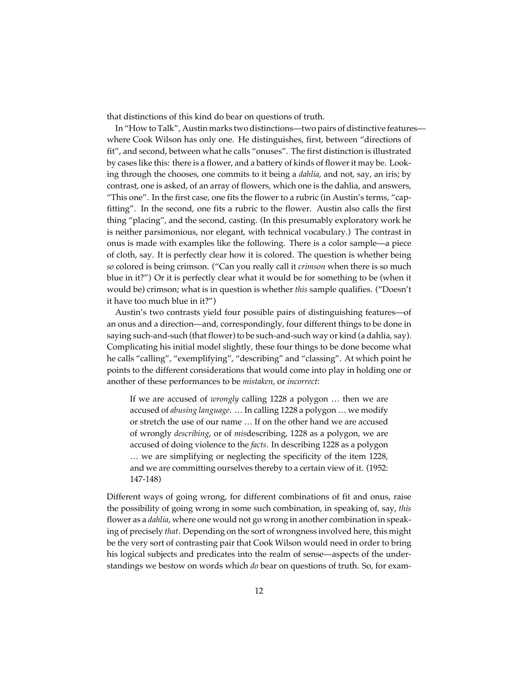that distinctions of this kind do bear on questions of truth.

In "How to Talk", Austin marks two distinctions—two pairs of distinctive features where Cook Wilson has only one. He distinguishes, first, between "directions of fit", and second, between what he calls "onuses". The first distinction is illustrated by cases like this: there is a flower, and a battery of kinds of flower it may be. Looking through the chooses, one commits to it being a *dahlia*, and not, say, an iris; by contrast, one is asked, of an array of flowers, which one is the dahlia, and answers, "This one". In the first case, one fits the flower to a rubric (in Austin's terms, "capfitting". In the second, one fits a rubric to the flower. Austin also calls the first thing "placing", and the second, casting. (In this presumably exploratory work he is neither parsimonious, nor elegant, with technical vocabulary.) The contrast in onus is made with examples like the following. There is a color sample—a piece of cloth, say. It is perfectly clear how it is colored. The question is whether being *so* colored is being crimson. ("Can you really call it *crimson* when there is so much blue in it?") Or it is perfectly clear what it would be for something to be (when it would be) crimson; what is in question is whether *this* sample qualifies. ("Doesn't it have too much blue in it?")

Austin's two contrasts yield four possible pairs of distinguishing features—of an onus and a direction—and, correspondingly, four different things to be done in saying such-and-such (that flower) to be such-and-such way or kind (a dahlia, say). Complicating his initial model slightly, these four things to be done become what he calls "calling", "exemplifying", "describing" and "classing". At which point he points to the different considerations that would come into play in holding one or another of these performances to be *mistaken*, or *incorrect*:

If we are accused of *wrongly* calling 1228 a polygon … then we are accused of *abusing language*. … In calling 1228 a polygon … we modify or stretch the use of our name … If on the other hand we are accused of wrongly *describing*, or of *mis*describing, 1228 as a polygon, we are accused of doing violence to the *facts*. In describing 1228 as a polygon … we are simplifying or neglecting the specificity of the item 1228, and we are committing ourselves thereby to a certain view of it. (1952: 147-148)

Different ways of going wrong, for different combinations of fit and onus, raise the possibility of going wrong in some such combination, in speaking of, say, *this* flower as a *dahlia*, where one would not go wrong in another combination in speaking of precisely *that*. Depending on the sort of wrongness involved here, this might be the very sort of contrasting pair that Cook Wilson would need in order to bring his logical subjects and predicates into the realm of sense—aspects of the understandings we bestow on words which *do* bear on questions of truth. So, for exam-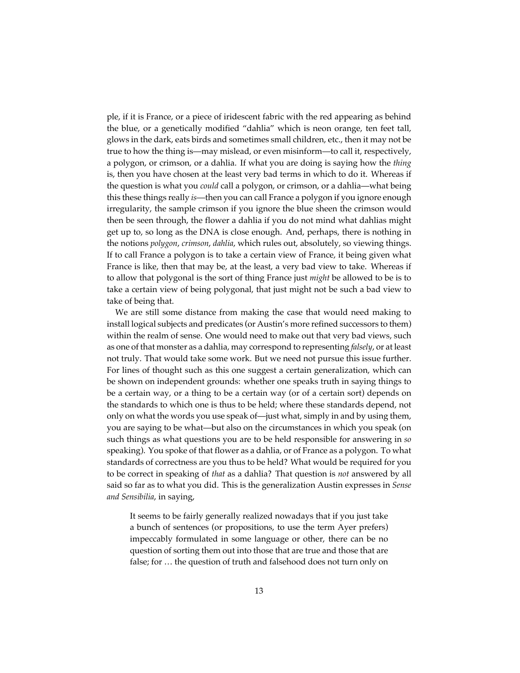ple, if it is France, or a piece of iridescent fabric with the red appearing as behind the blue, or a genetically modified "dahlia" which is neon orange, ten feet tall, glows in the dark, eats birds and sometimes small children, etc., then it may not be true to how the thing is—may mislead, or even misinform—to call it, respectively, a polygon, or crimson, or a dahlia. If what you are doing is saying how the *thing* is, then you have chosen at the least very bad terms in which to do it. Whereas if the question is what you *could* call a polygon, or crimson, or a dahlia—what being this these things really *is*—then you can call France a polygon if you ignore enough irregularity, the sample crimson if you ignore the blue sheen the crimson would then be seen through, the flower a dahlia if you do not mind what dahlias might get up to, so long as the DNA is close enough. And, perhaps, there is nothing in the notions *polygon*, *crimson*, *dahlia*, which rules out, absolutely, so viewing things. If to call France a polygon is to take a certain view of France, it being given what France is like, then that may be, at the least, a very bad view to take. Whereas if to allow that polygonal is the sort of thing France just *might* be allowed to be is to take a certain view of being polygonal, that just might not be such a bad view to take of being that.

We are still some distance from making the case that would need making to install logical subjects and predicates (or Austin's more refined successors to them) within the realm of sense. One would need to make out that very bad views, such as one of that monster as a dahlia, may correspond to representing *falsely*, or at least not truly. That would take some work. But we need not pursue this issue further. For lines of thought such as this one suggest a certain generalization, which can be shown on independent grounds: whether one speaks truth in saying things to be a certain way, or a thing to be a certain way (or of a certain sort) depends on the standards to which one is thus to be held; where these standards depend, not only on what the words you use speak of—just what, simply in and by using them, you are saying to be what—but also on the circumstances in which you speak (on such things as what questions you are to be held responsible for answering in *so* speaking). You spoke of that flower as a dahlia, or of France as a polygon. To what standards of correctness are you thus to be held? What would be required for you to be correct in speaking of *that* as a dahlia? That question is *not* answered by all said so far as to what you did. This is the generalization Austin expresses in *Sense and Sensibilia*, in saying,

It seems to be fairly generally realized nowadays that if you just take a bunch of sentences (or propositions, to use the term Ayer prefers) impeccably formulated in some language or other, there can be no question of sorting them out into those that are true and those that are false; for … the question of truth and falsehood does not turn only on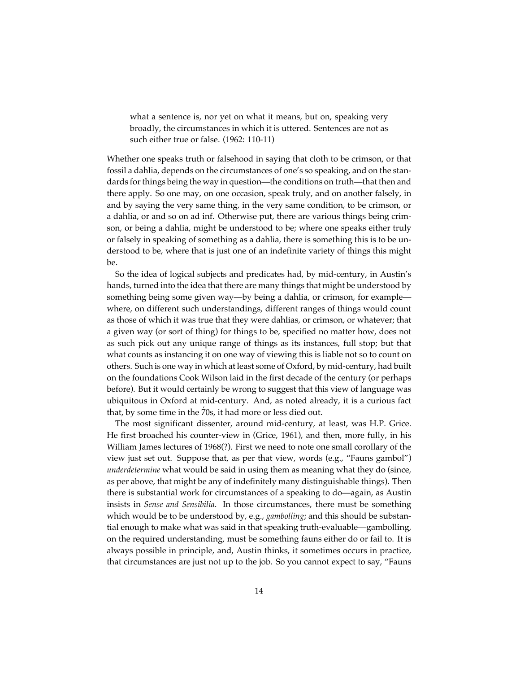what a sentence is, nor yet on what it means, but on, speaking very broadly, the circumstances in which it is uttered. Sentences are not as such either true or false. (1962: 110-11)

Whether one speaks truth or falsehood in saying that cloth to be crimson, or that fossil a dahlia, depends on the circumstances of one's so speaking, and on the standards for things being the way in question—the conditions on truth—that then and there apply. So one may, on one occasion, speak truly, and on another falsely, in and by saying the very same thing, in the very same condition, to be crimson, or a dahlia, or and so on ad inf. Otherwise put, there are various things being crimson, or being a dahlia, might be understood to be; where one speaks either truly or falsely in speaking of something as a dahlia, there is something this is to be understood to be, where that is just one of an indefinite variety of things this might be.

So the idea of logical subjects and predicates had, by mid-century, in Austin's hands, turned into the idea that there are many things that might be understood by something being some given way—by being a dahlia, or crimson, for example where, on different such understandings, different ranges of things would count as those of which it was true that they were dahlias, or crimson, or whatever; that a given way (or sort of thing) for things to be, specified no matter how, does not as such pick out any unique range of things as its instances, full stop; but that what counts as instancing it on one way of viewing this is liable not so to count on others. Such is one way in which at least some of Oxford, by mid-century, had built on the foundations Cook Wilson laid in the first decade of the century (or perhaps before). But it would certainly be wrong to suggest that this view of language was ubiquitous in Oxford at mid-century. And, as noted already, it is a curious fact that, by some time in the  $70s$ , it had more or less died out.

The most significant dissenter, around mid-century, at least, was H.P. Grice. He first broached his counter-view in (Grice, 1961), and then, more fully, in his William James lectures of 1968(?). First we need to note one small corollary of the view just set out. Suppose that, as per that view, words (e.g., "Fauns gambol") *underdetermine* what would be said in using them as meaning what they do (since, as per above, that might be any of indefinitely many distinguishable things). Then there is substantial work for circumstances of a speaking to do—again, as Austin insists in *Sense and Sensibilia*. In those circumstances, there must be something which would be to be understood by, e.g., *gambolling*; and this should be substantial enough to make what was said in that speaking truth-evaluable—gambolling, on the required understanding, must be something fauns either do or fail to. It is always possible in principle, and, Austin thinks, it sometimes occurs in practice, that circumstances are just not up to the job. So you cannot expect to say, "Fauns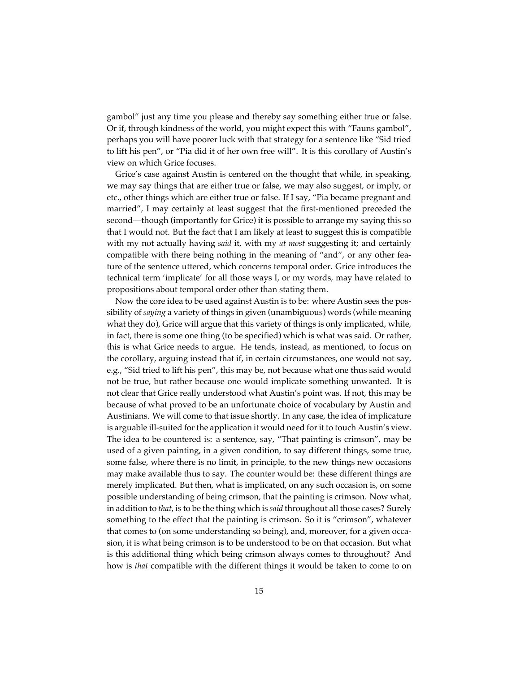gambol" just any time you please and thereby say something either true or false. Or if, through kindness of the world, you might expect this with "Fauns gambol", perhaps you will have poorer luck with that strategy for a sentence like "Sid tried to lift his pen", or "Pia did it of her own free will". It is this corollary of Austin's view on which Grice focuses.

Grice's case against Austin is centered on the thought that while, in speaking, we may say things that are either true or false, we may also suggest, or imply, or etc., other things which are either true or false. If I say, "Pia became pregnant and married", I may certainly at least suggest that the first-mentioned preceded the second—though (importantly for Grice) it is possible to arrange my saying this so that I would not. But the fact that I am likely at least to suggest this is compatible with my not actually having *said* it, with my *at most* suggesting it; and certainly compatible with there being nothing in the meaning of "and", or any other feature of the sentence uttered, which concerns temporal order. Grice introduces the technical term 'implicate' for all those ways I, or my words, may have related to propositions about temporal order other than stating them.

Now the core idea to be used against Austin is to be: where Austin sees the possibility of *saying* a variety of things in given (unambiguous) words (while meaning what they do), Grice will argue that this variety of things is only implicated, while, in fact, there is some one thing (to be specified) which is what was said. Or rather, this is what Grice needs to argue. He tends, instead, as mentioned, to focus on the corollary, arguing instead that if, in certain circumstances, one would not say, e.g., "Sid tried to lift his pen", this may be, not because what one thus said would not be true, but rather because one would implicate something unwanted. It is not clear that Grice really understood what Austin's point was. If not, this may be because of what proved to be an unfortunate choice of vocabulary by Austin and Austinians. We will come to that issue shortly. In any case, the idea of implicature is arguable ill-suited for the application it would need for it to touch Austin's view. The idea to be countered is: a sentence, say, "That painting is crimson", may be used of a given painting, in a given condition, to say different things, some true, some false, where there is no limit, in principle, to the new things new occasions may make available thus to say. The counter would be: these different things are merely implicated. But then, what is implicated, on any such occasion is, on some possible understanding of being crimson, that the painting is crimson. Now what, in addition to *that*, is to be the thing which is *said* throughout all those cases? Surely something to the effect that the painting is crimson. So it is "crimson", whatever that comes to (on some understanding so being), and, moreover, for a given occasion, it is what being crimson is to be understood to be on that occasion. But what is this additional thing which being crimson always comes to throughout? And how is *that* compatible with the different things it would be taken to come to on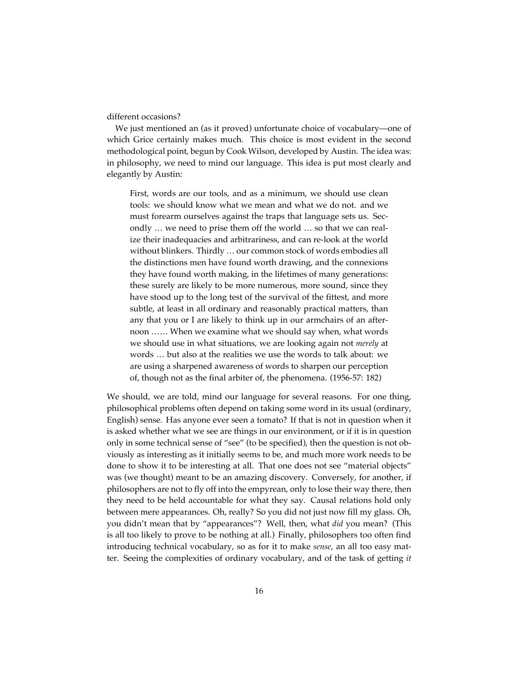different occasions?

We just mentioned an (as it proved) unfortunate choice of vocabulary—one of which Grice certainly makes much. This choice is most evident in the second methodological point, begun by Cook Wilson, developed by Austin. The idea was: in philosophy, we need to mind our language. This idea is put most clearly and elegantly by Austin:

First, words are our tools, and as a minimum, we should use clean tools: we should know what we mean and what we do not. and we must forearm ourselves against the traps that language sets us. Secondly … we need to prise them off the world … so that we can realize their inadequacies and arbitrariness, and can re-look at the world without blinkers. Thirdly … our common stock of words embodies all the distinctions men have found worth drawing, and the connexions they have found worth making, in the lifetimes of many generations: these surely are likely to be more numerous, more sound, since they have stood up to the long test of the survival of the fittest, and more subtle, at least in all ordinary and reasonably practical matters, than any that you or I are likely to think up in our armchairs of an afternoon …… When we examine what we should say when, what words we should use in what situations, we are looking again not *merely* at words … but also at the realities we use the words to talk about: we are using a sharpened awareness of words to sharpen our perception of, though not as the final arbiter of, the phenomena. (1956-57: 182)

We should, we are told, mind our language for several reasons. For one thing, philosophical problems often depend on taking some word in its usual (ordinary, English) sense. Has anyone ever seen a tomato? If that is not in question when it is asked whether what we see are things in our environment, or if it is in question only in some technical sense of "see" (to be specified), then the question is not obviously as interesting as it initially seems to be, and much more work needs to be done to show it to be interesting at all. That one does not see "material objects" was (we thought) meant to be an amazing discovery. Conversely, for another, if philosophers are not to fly off into the empyrean, only to lose their way there, then they need to be held accountable for what they say. Causal relations hold only between mere appearances. Oh, really? So you did not just now fill my glass. Oh, you didn't mean that by "appearances"? Well, then, what *did* you mean? (This is all too likely to prove to be nothing at all.) Finally, philosophers too often find introducing technical vocabulary, so as for it to make *sense*, an all too easy matter. Seeing the complexities of ordinary vocabulary, and of the task of getting *it*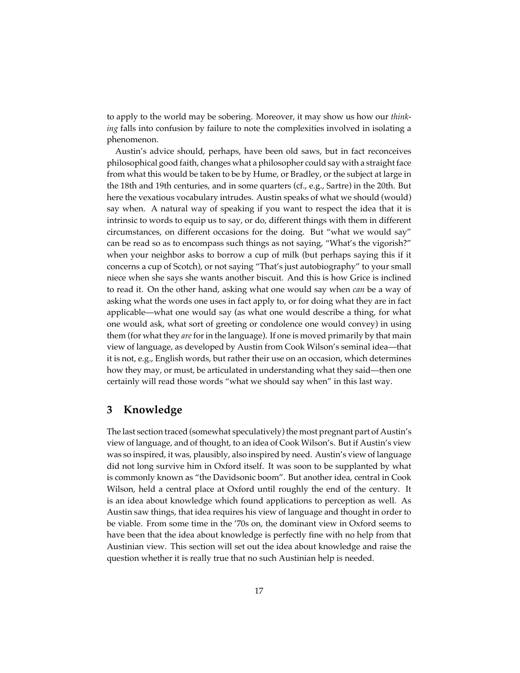to apply to the world may be sobering. Moreover, it may show us how our *thinking* falls into confusion by failure to note the complexities involved in isolating a phenomenon.

Austin's advice should, perhaps, have been old saws, but in fact reconceives philosophical good faith, changes what a philosopher could say with a straight face from what this would be taken to be by Hume, or Bradley, or the subject at large in the 18th and 19th centuries, and in some quarters (cf., e.g., Sartre) in the 20th. But here the vexatious vocabulary intrudes. Austin speaks of what we should (would) say when. A natural way of speaking if you want to respect the idea that it is intrinsic to words to equip us to say, or do, different things with them in different circumstances, on different occasions for the doing. But "what we would say" can be read so as to encompass such things as not saying, "What's the vigorish?" when your neighbor asks to borrow a cup of milk (but perhaps saying this if it concerns a cup of Scotch), or not saying "That's just autobiography" to your small niece when she says she wants another biscuit. And this is how Grice is inclined to read it. On the other hand, asking what one would say when *can* be a way of asking what the words one uses in fact apply to, or for doing what they are in fact applicable—what one would say (as what one would describe a thing, for what one would ask, what sort of greeting or condolence one would convey) in using them (for what they *are*for in the language). If one is moved primarily by that main view of language, as developed by Austin from Cook Wilson's seminal idea—that it is not, e.g., English words, but rather their use on an occasion, which determines how they may, or must, be articulated in understanding what they said—then one certainly will read those words "what we should say when" in this last way.

#### **3 Knowledge**

The last section traced (somewhat speculatively) the most pregnant part of Austin's view of language, and of thought, to an idea of Cook Wilson's. But if Austin's view was so inspired, it was, plausibly, also inspired by need. Austin's view of language did not long survive him in Oxford itself. It was soon to be supplanted by what is commonly known as "the Davidsonic boom". But another idea, central in Cook Wilson, held a central place at Oxford until roughly the end of the century. It is an idea about knowledge which found applications to perception as well. As Austin saw things, that idea requires his view of language and thought in order to be viable. From some time in the '70s on, the dominant view in Oxford seems to have been that the idea about knowledge is perfectly fine with no help from that Austinian view. This section will set out the idea about knowledge and raise the question whether it is really true that no such Austinian help is needed.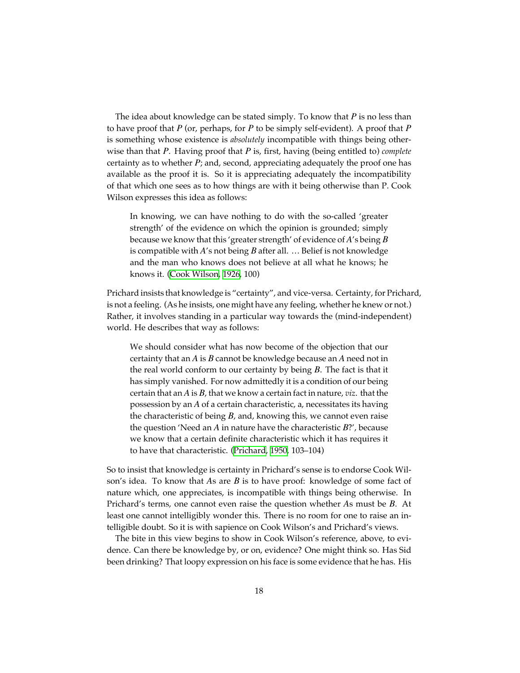<span id="page-17-0"></span>The idea about knowledge can be stated simply. To know that *P* is no less than to have proof that *P* (or, perhaps, for *P* to be simply self-evident). A proof that *P* is something whose existence is *absolutely* incompatible with things being otherwise than that *P*. Having proof that *P* is, first, having (being entitled to) *complete* certainty as to whether *P*; and, second, appreciating adequately the proof one has available as the proof it is. So it is appreciating adequately the incompatibility of that which one sees as to how things are with it being otherwise than P. Cook Wilson expresses this idea as follows:

In knowing, we can have nothing to do with the so-called 'greater strength' of the evidence on which the opinion is grounded; simply because we know that this 'greater strength' of evidence of *A*'s being *B* is compatible with *A*'s not being *B* after all. … Belief is not knowledge and the man who knows does not believe at all what he knows; he knows it. [\(Cook Wilson,](#page-45-1) [1926](#page-45-1), 100)

Prichard insists that knowledge is "certainty", and vice-versa. Certainty, for Prichard, is not a feeling. (As he insists, one might have any feeling, whether he knew or not.) Rather, it involves standing in a particular way towards the (mind-independent) world. He describes that way as follows:

We should consider what has now become of the objection that our certainty that an *A* is *B* cannot be knowledge because an *A* need not in the real world conform to our certainty by being *B*. The fact is that it has simply vanished. For now admittedly it is a condition of our being certain that an *A* is *B*, that we know a certain fact in nature, *viz*. that the possession by an *A* of a certain characteristic, a, necessitates its having the characteristic of being *B*, and, knowing this, we cannot even raise the question 'Need an *A* in nature have the characteristic *B*?', because we know that a certain definite characteristic which it has requires it to have that characteristic. [\(Prichard](#page-47-2), [1950](#page-47-2), 103–104)

So to insist that knowledge is certainty in Prichard's sense is to endorse Cook Wilson's idea. To know that *A*s are *B* is to have proof: knowledge of some fact of nature which, one appreciates, is incompatible with things being otherwise. In Prichard's terms, one cannot even raise the question whether *A*s must be *B*. At least one cannot intelligibly wonder this. There is no room for one to raise an intelligible doubt. So it is with sapience on Cook Wilson's and Prichard's views.

The bite in this view begins to show in Cook Wilson's reference, above, to evidence. Can there be knowledge by, or on, evidence? One might think so. Has Sid been drinking? That loopy expression on his face is some evidence that he has. His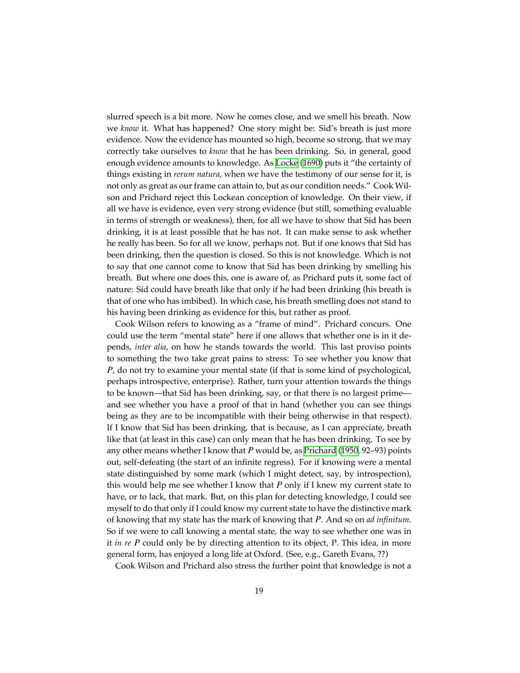<span id="page-18-0"></span>slurred speech is a bit more. Now he comes close, and we smell his breath. Now we *know* it. What has happened? One story might be: Sid's breath is just more evidence. Now the evidence has mounted so high, become so strong, that we may correctly take ourselves to *know* that he has been drinking. So, in general, good enough evidence amounts to knowledge. As [Locke](#page-46-5) ([1690\)](#page-46-5) puts it "the certainty of things existing in *rerum natura*, when we have the testimony of our sense for it, is not only as great as our frame can attain to, but as our condition needs." Cook Wilson and Prichard reject this Lockean conception of knowledge. On their view, if all we have is evidence, even very strong evidence (but still, something evaluable in terms of strength or weakness), then, for all we have to show that Sid has been drinking, it is at least possible that he has not. It can make sense to ask whether he really has been. So for all we know, perhaps not. But if one knows that Sid has been drinking, then the question is closed. So this is not knowledge. Which is not to say that one cannot come to know that Sid has been drinking by smelling his breath. But where one does this, one is aware of, as Prichard puts it, some fact of nature: Sid could have breath like that only if he had been drinking (his breath is that of one who has imbibed). In which case, his breath smelling does not stand to his having been drinking as evidence for this, but rather as proof.

Cook Wilson refers to knowing as a "frame of mind". Prichard concurs. One could use the term "mental state" here if one allows that whether one is in it depends, *inter alia*, on how he stands towards the world. This last proviso points to something the two take great pains to stress: To see whether you know that *P*, do not try to examine your mental state (if that is some kind of psychological, perhaps introspective, enterprise). Rather, turn your attention towards the things to be known—that Sid has been drinking, say, or that there is no largest prime and see whether you have a proof of that in hand (whether you can see things being as they are to be incompatible with their being otherwise in that respect). If I know that Sid has been drinking, that is because, as I can appreciate, breath like that (at least in this case) can only mean that he has been drinking. To see by any other means whether I know that *P* would be, as [Prichard](#page-47-2) ([1950,](#page-47-2) 92–93) points out, self-defeating (the start of an infinite regress). For if knowing were a mental state distinguished by some mark (which I might detect, say, by introspection), this would help me see whether I know that *P* only if I knew my current state to have, or to lack, that mark. But, on this plan for detecting knowledge, I could see myself to do that only if I could know my current state to have the distinctive mark of knowing that my state has the mark of knowing that *P*. And so on *ad infinitum*. So if we were to call knowing a mental state, the way to see whether one was in it *in re P* could only be by directing attention to its object, P. This idea, in more general form, has enjoyed a long life at Oxford. (See, e.g., Gareth Evans, ??)

Cook Wilson and Prichard also stress the further point that knowledge is not a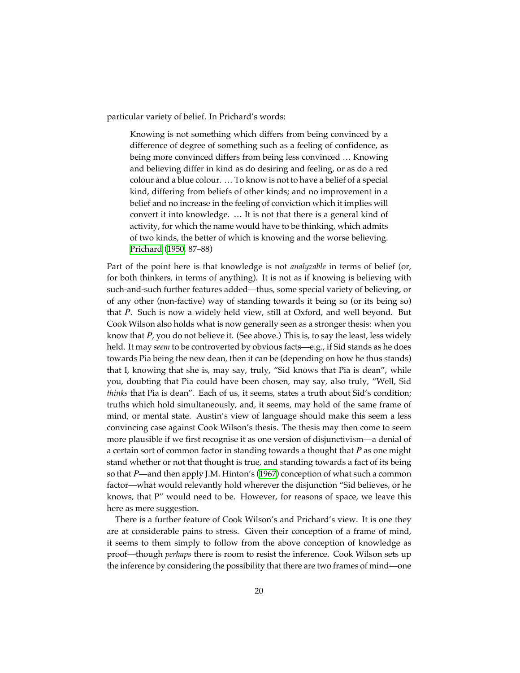<span id="page-19-0"></span>particular variety of belief. In Prichard's words:

Knowing is not something which differs from being convinced by a difference of degree of something such as a feeling of confidence, as being more convinced differs from being less convinced … Knowing and believing differ in kind as do desiring and feeling, or as do a red colour and a blue colour. … To know is not to have a belief of a special kind, differing from beliefs of other kinds; and no improvement in a belief and no increase in the feeling of conviction which it implies will convert it into knowledge. … It is not that there is a general kind of activity, for which the name would have to be thinking, which admits of two kinds, the better of which is knowing and the worse believing. [Prichard](#page-47-2) [\(1950,](#page-47-2) 87–88)

Part of the point here is that knowledge is not *analyzable* in terms of belief (or, for both thinkers, in terms of anything). It is not as if knowing is believing with such-and-such further features added—thus, some special variety of believing, or of any other (non-factive) way of standing towards it being so (or its being so) that *P*. Such is now a widely held view, still at Oxford, and well beyond. But Cook Wilson also holds what is now generally seen as a stronger thesis: when you know that *P*, you do not believe it. (See above.) This is, to say the least, less widely held. It may *seem* to be controverted by obvious facts—e.g., if Sid stands as he does towards Pia being the new dean, then it can be (depending on how he thus stands) that I, knowing that she is, may say, truly, "Sid knows that Pia is dean", while you, doubting that Pia could have been chosen, may say, also truly, "Well, Sid *thinks* that Pia is dean". Each of us, it seems, states a truth about Sid's condition; truths which hold simultaneously, and, it seems, may hold of the same frame of mind, or mental state. Austin's view of language should make this seem a less convincing case against Cook Wilson's thesis. The thesis may then come to seem more plausible if we first recognise it as one version of disjunctivism—a denial of a certain sort of common factor in standing towards a thought that *P* as one might stand whether or not that thought is true, and standing towards a fact of its being so that *P*—and then apply J.M. Hinton's [\(1967](#page-46-6)) conception of what such a common factor—what would relevantly hold wherever the disjunction "Sid believes, or he knows, that P" would need to be. However, for reasons of space, we leave this here as mere suggestion.

There is a further feature of Cook Wilson's and Prichard's view. It is one they are at considerable pains to stress. Given their conception of a frame of mind, it seems to them simply to follow from the above conception of knowledge as proof—though *perhaps* there is room to resist the inference. Cook Wilson sets up the inference by considering the possibility that there are two frames of mind—one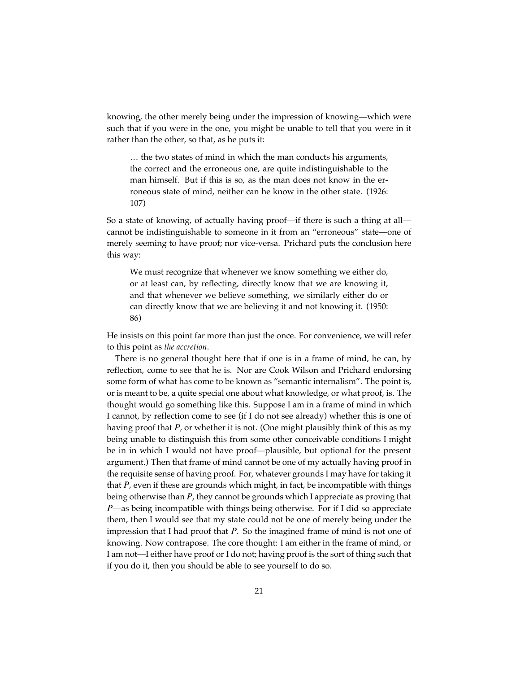knowing, the other merely being under the impression of knowing—which were such that if you were in the one, you might be unable to tell that you were in it rather than the other, so that, as he puts it:

… the two states of mind in which the man conducts his arguments, the correct and the erroneous one, are quite indistinguishable to the man himself. But if this is so, as the man does not know in the erroneous state of mind, neither can he know in the other state. (1926: 107)

So a state of knowing, of actually having proof—if there is such a thing at all cannot be indistinguishable to someone in it from an "erroneous" state—one of merely seeming to have proof; nor vice-versa. Prichard puts the conclusion here this way:

We must recognize that whenever we know something we either do, or at least can, by reflecting, directly know that we are knowing it, and that whenever we believe something, we similarly either do or can directly know that we are believing it and not knowing it. (1950: 86)

He insists on this point far more than just the once. For convenience, we will refer to this point as *the accretion*.

There is no general thought here that if one is in a frame of mind, he can, by reflection, come to see that he is. Nor are Cook Wilson and Prichard endorsing some form of what has come to be known as "semantic internalism". The point is, or is meant to be, a quite special one about what knowledge, or what proof, is. The thought would go something like this. Suppose I am in a frame of mind in which I cannot, by reflection come to see (if I do not see already) whether this is one of having proof that *P*, or whether it is not. (One might plausibly think of this as my being unable to distinguish this from some other conceivable conditions I might be in in which I would not have proof—plausible, but optional for the present argument.) Then that frame of mind cannot be one of my actually having proof in the requisite sense of having proof. For, whatever grounds I may have for taking it that *P*, even if these are grounds which might, in fact, be incompatible with things being otherwise than *P*, they cannot be grounds which I appreciate as proving that *P*—as being incompatible with things being otherwise. For if I did so appreciate them, then I would see that my state could not be one of merely being under the impression that I had proof that *P*. So the imagined frame of mind is not one of knowing. Now contrapose. The core thought: I am either in the frame of mind, or I am not—I either have proof or I do not; having proof is the sort of thing such that if you do it, then you should be able to see yourself to do so.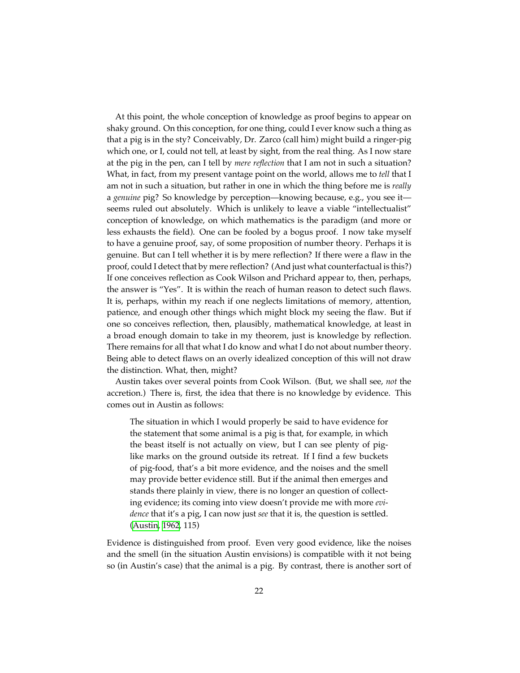<span id="page-21-0"></span>At this point, the whole conception of knowledge as proof begins to appear on shaky ground. On this conception, for one thing, could I ever know such a thing as that a pig is in the sty? Conceivably, Dr. Zarco (call him) might build a ringer-pig which one, or I, could not tell, at least by sight, from the real thing. As I now stare at the pig in the pen, can I tell by *mere reflection* that I am not in such a situation? What, in fact, from my present vantage point on the world, allows me to *tell* that I am not in such a situation, but rather in one in which the thing before me is *really* a *genuine* pig? So knowledge by perception—knowing because, e.g., you see it seems ruled out absolutely. Which is unlikely to leave a viable "intellectualist" conception of knowledge, on which mathematics is the paradigm (and more or less exhausts the field). One can be fooled by a bogus proof. I now take myself to have a genuine proof, say, of some proposition of number theory. Perhaps it is genuine. But can I tell whether it is by mere reflection? If there were a flaw in the proof, could I detect that by mere reflection? (And just what counterfactual is this?) If one conceives reflection as Cook Wilson and Prichard appear to, then, perhaps, the answer is "Yes". It is within the reach of human reason to detect such flaws. It is, perhaps, within my reach if one neglects limitations of memory, attention, patience, and enough other things which might block my seeing the flaw. But if one so conceives reflection, then, plausibly, mathematical knowledge, at least in a broad enough domain to take in my theorem, just is knowledge by reflection. There remains for all that what I do know and what I do not about number theory. Being able to detect flaws on an overly idealized conception of this will not draw the distinction. What, then, might?

Austin takes over several points from Cook Wilson. (But, we shall see, *not* the accretion.) There is, first, the idea that there is no knowledge by evidence. This comes out in Austin as follows:

The situation in which I would properly be said to have evidence for the statement that some animal is a pig is that, for example, in which the beast itself is not actually on view, but I can see plenty of piglike marks on the ground outside its retreat. If I find a few buckets of pig-food, that's a bit more evidence, and the noises and the smell may provide better evidence still. But if the animal then emerges and stands there plainly in view, there is no longer an question of collecting evidence; its coming into view doesn't provide me with more *evidence* that it's a pig, I can now just *see* that it is, the question is settled. [\(Austin](#page-45-2), [1962](#page-45-2), 115)

Evidence is distinguished from proof. Even very good evidence, like the noises and the smell (in the situation Austin envisions) is compatible with it not being so (in Austin's case) that the animal is a pig. By contrast, there is another sort of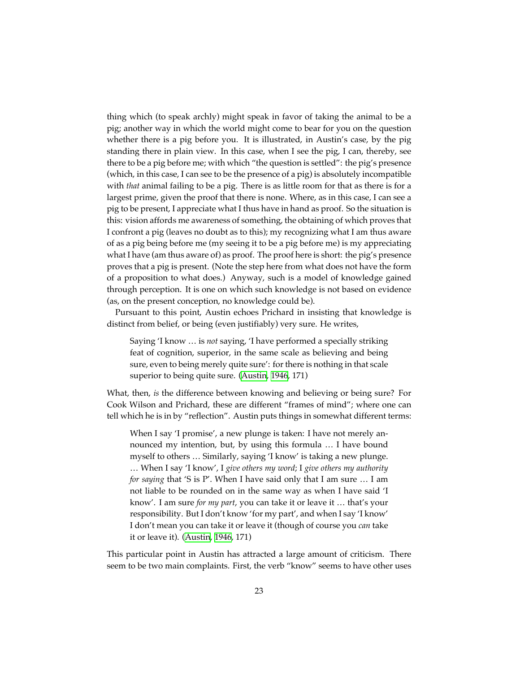<span id="page-22-0"></span>thing which (to speak archly) might speak in favor of taking the animal to be a pig; another way in which the world might come to bear for you on the question whether there is a pig before you. It is illustrated, in Austin's case, by the pig standing there in plain view. In this case, when I see the pig, I can, thereby, see there to be a pig before me; with which "the question is settled": the pig's presence (which, in this case, I can see to be the presence of a pig) is absolutely incompatible with *that* animal failing to be a pig. There is as little room for that as there is for a largest prime, given the proof that there is none. Where, as in this case, I can see a pig to be present, I appreciate what I thus have in hand as proof. So the situation is this: vision affords me awareness of something, the obtaining of which proves that I confront a pig (leaves no doubt as to this); my recognizing what I am thus aware of as a pig being before me (my seeing it to be a pig before me) is my appreciating what I have (am thus aware of) as proof. The proof here is short: the pig's presence proves that a pig is present. (Note the step here from what does not have the form of a proposition to what does.) Anyway, such is a model of knowledge gained through perception. It is one on which such knowledge is not based on evidence (as, on the present conception, no knowledge could be).

Pursuant to this point, Austin echoes Prichard in insisting that knowledge is distinct from belief, or being (even justifiably) very sure. He writes,

Saying 'I know … is *not* saying, 'I have performed a specially striking feat of cognition, superior, in the same scale as believing and being sure, even to being merely quite sure': for there is nothing in that scale superior to being quite sure. [\(Austin](#page-45-3), [1946](#page-45-3), 171)

What, then, *is* the difference between knowing and believing or being sure? For Cook Wilson and Prichard, these are different "frames of mind"; where one can tell which he is in by "reflection". Austin puts things in somewhat different terms:

When I say 'I promise', a new plunge is taken: I have not merely announced my intention, but, by using this formula … I have bound myself to others … Similarly, saying 'I know' is taking a new plunge. … When I say 'I know', I *give others my word*; I *give others my authority for saying* that 'S is P'. When I have said only that I am sure … I am not liable to be rounded on in the same way as when I have said 'I know'. I am sure *for my part*, you can take it or leave it … that's your responsibility. But I don't know 'for my part', and when I say 'I know' I don't mean you can take it or leave it (though of course you *can* take it or leave it).([Austin,](#page-45-3) [1946,](#page-45-3) 171)

This particular point in Austin has attracted a large amount of criticism. There seem to be two main complaints. First, the verb "know" seems to have other uses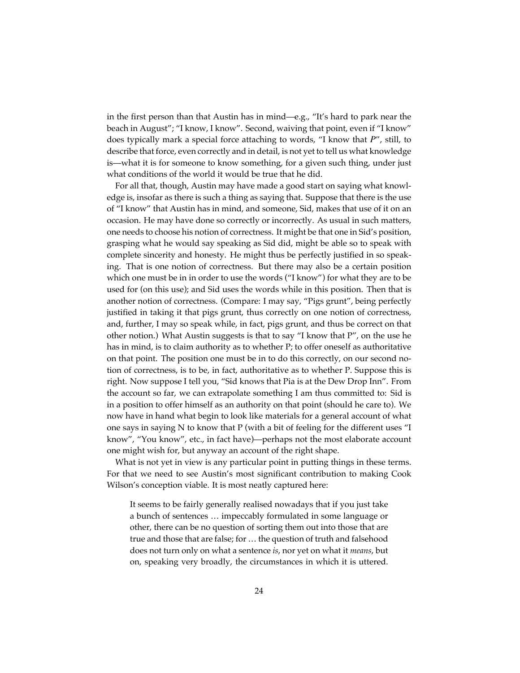in the first person than that Austin has in mind—e.g., "It's hard to park near the beach in August"; "I know, I know". Second, waiving that point, even if "I know" does typically mark a special force attaching to words, "I know that *P*", still, to describe that force, even correctly and in detail, is not yet to tell us what knowledge is—what it is for someone to know something, for a given such thing, under just what conditions of the world it would be true that he did.

For all that, though, Austin may have made a good start on saying what knowledge is, insofar as there is such a thing as saying that. Suppose that there is the use of "I know" that Austin has in mind, and someone, Sid, makes that use of it on an occasion. He may have done so correctly or incorrectly. As usual in such matters, one needs to choose his notion of correctness. It might be that one in Sid's position, grasping what he would say speaking as Sid did, might be able so to speak with complete sincerity and honesty. He might thus be perfectly justified in so speaking. That is one notion of correctness. But there may also be a certain position which one must be in in order to use the words ("I know") for what they are to be used for (on this use); and Sid uses the words while in this position. Then that is another notion of correctness. (Compare: I may say, "Pigs grunt", being perfectly justified in taking it that pigs grunt, thus correctly on one notion of correctness, and, further, I may so speak while, in fact, pigs grunt, and thus be correct on that other notion.) What Austin suggests is that to say "I know that P", on the use he has in mind, is to claim authority as to whether P; to offer oneself as authoritative on that point. The position one must be in to do this correctly, on our second notion of correctness, is to be, in fact, authoritative as to whether P. Suppose this is right. Now suppose I tell you, "Sid knows that Pia is at the Dew Drop Inn". From the account so far, we can extrapolate something I am thus committed to: Sid is in a position to offer himself as an authority on that point (should he care to). We now have in hand what begin to look like materials for a general account of what one says in saying N to know that P (with a bit of feeling for the different uses  $T$ know", "You know", etc., in fact have)—perhaps not the most elaborate account one might wish for, but anyway an account of the right shape.

What is not yet in view is any particular point in putting things in these terms. For that we need to see Austin's most significant contribution to making Cook Wilson's conception viable. It is most neatly captured here:

It seems to be fairly generally realised nowadays that if you just take a bunch of sentences … impeccably formulated in some language or other, there can be no question of sorting them out into those that are true and those that are false; for … the question of truth and falsehood does not turn only on what a sentence *is*, nor yet on what it *means*, but on, speaking very broadly, the circumstances in which it is uttered.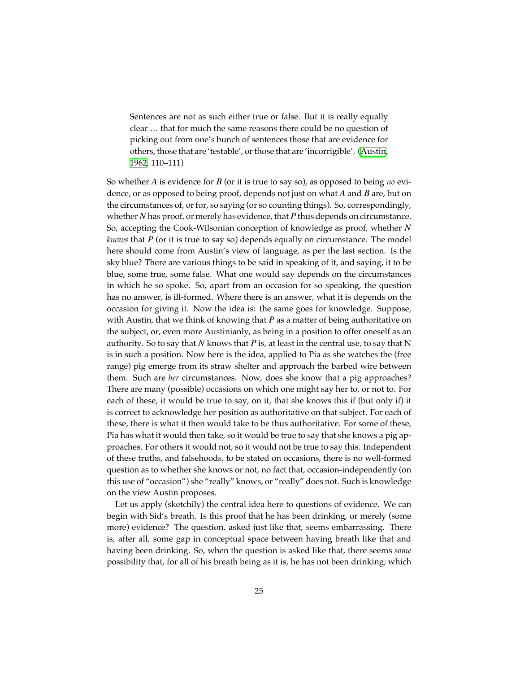<span id="page-24-0"></span>Sentences are not as such either true or false. But it is really equally clear … that for much the same reasons there could be no question of picking out from one's bunch of sentences those that are evidence for others, those that are 'testable', or those that are 'incorrigible'.([Austin,](#page-45-2) [1962](#page-45-2), 110–111)

So whether *A* is evidence for *B* (or it is true to say so), as opposed to being *no* evidence, or as opposed to being proof, depends not just on what *A* and *B* are, but on the circumstances of, or for, so saying (or so counting things). So, correspondingly, whether *N* has proof, or merely has evidence, that *P* thus depends on circumstance. So, accepting the Cook-Wilsonian conception of knowledge as proof, whether *N knows* that *P* (or it is true to say so) depends equally on circumstance. The model here should come from Austin's view of language, as per the last section. Is the sky blue? There are various things to be said in speaking of it, and saying, it to be blue, some true, some false. What one would say depends on the circumstances in which he so spoke. So, apart from an occasion for so speaking, the question has no answer, is ill-formed. Where there is an answer, what it is depends on the occasion for giving it. Now the idea is: the same goes for knowledge. Suppose, with Austin, that we think of knowing that *P* as a matter of being authoritative on the subject, or, even more Austinianly, as being in a position to offer oneself as an authority. So to say that *N* knows that *P* is, at least in the central use, to say that N is in such a position. Now here is the idea, applied to Pia as she watches the (free range) pig emerge from its straw shelter and approach the barbed wire between them. Such are *her* circumstances. Now, does she know that a pig approaches? There are many (possible) occasions on which one might say her to, or not to. For each of these, it would be true to say, on it, that she knows this if (but only if) it is correct to acknowledge her position as authoritative on that subject. For each of these, there is what it then would take to be thus authoritative. For some of these, Pia has what it would then take, so it would be true to say that she knows a pig approaches. For others it would not, so it would not be true to say this. Independent of these truths, and falsehoods, to be stated on occasions, there is no well-formed question as to whether she knows or not, no fact that, occasion-independently (on this use of "occasion") she "really" knows, or "really" does not. Such is knowledge on the view Austin proposes.

Let us apply (sketchily) the central idea here to questions of evidence. We can begin with Sid's breath. Is this proof that he has been drinking, or merely (some more) evidence? The question, asked just like that, seems embarrassing. There is, after all, some gap in conceptual space between having breath like that and having been drinking. So, when the question is asked like that, there seems *some* possibility that, for all of his breath being as it is, he has not been drinking; which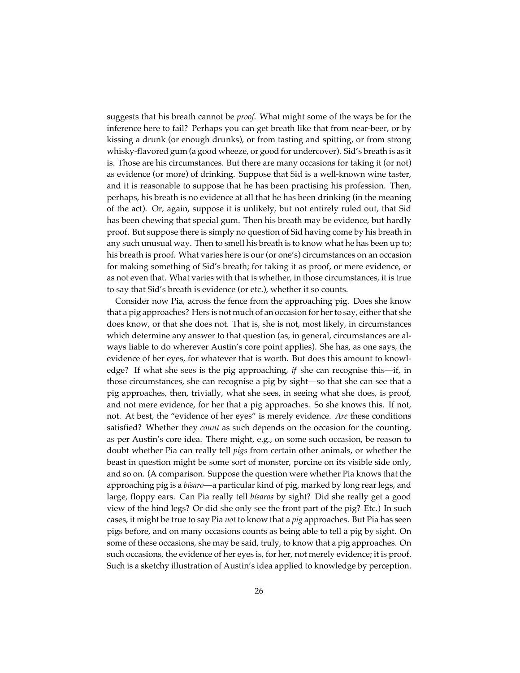suggests that his breath cannot be *proof*. What might some of the ways be for the inference here to fail? Perhaps you can get breath like that from near-beer, or by kissing a drunk (or enough drunks), or from tasting and spitting, or from strong whisky-flavored gum (a good wheeze, or good for undercover). Sid's breath is as it is. Those are his circumstances. But there are many occasions for taking it (or not) as evidence (or more) of drinking. Suppose that Sid is a well-known wine taster, and it is reasonable to suppose that he has been practising his profession. Then, perhaps, his breath is no evidence at all that he has been drinking (in the meaning of the act). Or, again, suppose it is unlikely, but not entirely ruled out, that Sid has been chewing that special gum. Then his breath may be evidence, but hardly proof. But suppose there is simply no question of Sid having come by his breath in any such unusual way. Then to smell his breath is to know what he has been up to; his breath is proof. What varies here is our (or one's) circumstances on an occasion for making something of Sid's breath; for taking it as proof, or mere evidence, or as not even that. What varies with that is whether, in those circumstances, it is true to say that Sid's breath is evidence (or etc.), whether it so counts.

Consider now Pia, across the fence from the approaching pig. Does she know that a pig approaches? Hers is not much of an occasion for her to say, either that she does know, or that she does not. That is, she is not, most likely, in circumstances which determine any answer to that question (as, in general, circumstances are always liable to do wherever Austin's core point applies). She has, as one says, the evidence of her eyes, for whatever that is worth. But does this amount to knowledge? If what she sees is the pig approaching, *if* she can recognise this—if, in those circumstances, she can recognise a pig by sight—so that she can see that a pig approaches, then, trivially, what she sees, in seeing what she does, is proof, and not mere evidence, for her that a pig approaches. So she knows this. If not, not. At best, the "evidence of her eyes" is merely evidence. *Are* these conditions satisfied? Whether they *count* as such depends on the occasion for the counting, as per Austin's core idea. There might, e.g., on some such occasion, be reason to doubt whether Pia can really tell *pigs* from certain other animals, or whether the beast in question might be some sort of monster, porcine on its visible side only, and so on. (A comparison. Suppose the question were whether Pia knows that the approaching pig is a *bísaro*—a particular kind of pig, marked by long rear legs, and large, floppy ears. Can Pia really tell *bísaros* by sight? Did she really get a good view of the hind legs? Or did she only see the front part of the pig? Etc.) In such cases, it might be true to say Pia *not* to know that a *pig* approaches. But Pia has seen pigs before, and on many occasions counts as being able to tell a pig by sight. On some of these occasions, she may be said, truly, to know that a pig approaches. On such occasions, the evidence of her eyes is, for her, not merely evidence; it is proof. Such is a sketchy illustration of Austin's idea applied to knowledge by perception.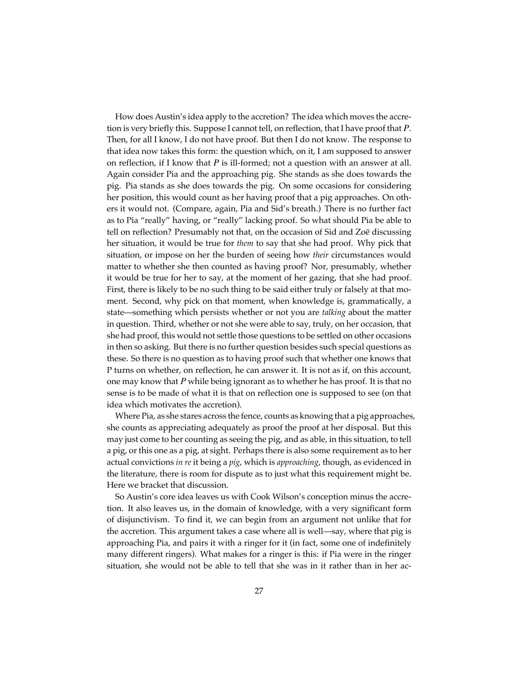How does Austin's idea apply to the accretion? The idea which moves the accretion is very briefly this. Suppose I cannot tell, on reflection, that I have proof that *P*. Then, for all I know, I do not have proof. But then I do not know. The response to that idea now takes this form: the question which, on it, I am supposed to answer on reflection, if I know that *P* is ill-formed; not a question with an answer at all. Again consider Pia and the approaching pig. She stands as she does towards the pig. Pia stands as she does towards the pig. On some occasions for considering her position, this would count as her having proof that a pig approaches. On others it would not. (Compare, again, Pia and Sid's breath.) There is no further fact as to Pia "really" having, or "really" lacking proof. So what should Pia be able to tell on reflection? Presumably not that, on the occasion of Sid and Zoë discussing her situation, it would be true for *them* to say that she had proof. Why pick that situation, or impose on her the burden of seeing how *their* circumstances would matter to whether she then counted as having proof? Nor, presumably, whether it would be true for her to say, at the moment of her gazing, that she had proof. First, there is likely to be no such thing to be said either truly or falsely at that moment. Second, why pick on that moment, when knowledge is, grammatically, a state—something which persists whether or not you are *talking* about the matter in question. Third, whether or not she were able to say, truly, on her occasion, that she had proof, this would not settle those questions to be settled on other occasions in then so asking. But there is no further question besides such special questions as these. So there is no question as to having proof such that whether one knows that P turns on whether, on reflection, he can answer it. It is not as if, on this account, one may know that *P* while being ignorant as to whether he has proof. It is that no sense is to be made of what it is that on reflection one is supposed to see (on that idea which motivates the accretion).

Where Pia, as she stares across the fence, counts as knowing that a pig approaches, she counts as appreciating adequately as proof the proof at her disposal. But this may just come to her counting as seeing the pig, and as able, in this situation, to tell a pig, or this one as a pig, at sight. Perhaps there is also some requirement as to her actual convictions *in re* it being a *pig*, which is *approaching*, though, as evidenced in the literature, there is room for dispute as to just what this requirement might be. Here we bracket that discussion.

So Austin's core idea leaves us with Cook Wilson's conception minus the accretion. It also leaves us, in the domain of knowledge, with a very significant form of disjunctivism. To find it, we can begin from an argument not unlike that for the accretion. This argument takes a case where all is well—say, where that pig is approaching Pia, and pairs it with a ringer for it (in fact, some one of indefinitely many different ringers). What makes for a ringer is this: if Pia were in the ringer situation, she would not be able to tell that she was in it rather than in her ac-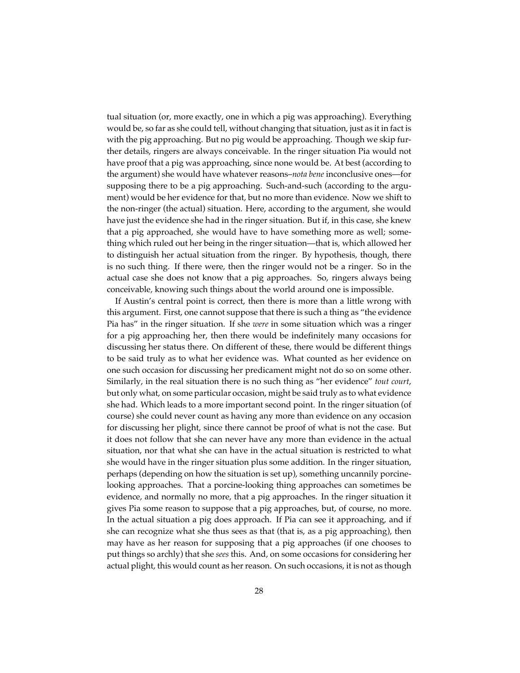tual situation (or, more exactly, one in which a pig was approaching). Everything would be, so far as she could tell, without changing that situation, just as it in fact is with the pig approaching. But no pig would be approaching. Though we skip further details, ringers are always conceivable. In the ringer situation Pia would not have proof that a pig was approaching, since none would be. At best (according to the argument) she would have whatever reasons–*nota bene* inconclusive ones—for supposing there to be a pig approaching. Such-and-such (according to the argument) would be her evidence for that, but no more than evidence. Now we shift to the non-ringer (the actual) situation. Here, according to the argument, she would have just the evidence she had in the ringer situation. But if, in this case, she knew that a pig approached, she would have to have something more as well; something which ruled out her being in the ringer situation—that is, which allowed her to distinguish her actual situation from the ringer. By hypothesis, though, there is no such thing. If there were, then the ringer would not be a ringer. So in the actual case she does not know that a pig approaches. So, ringers always being conceivable, knowing such things about the world around one is impossible.

If Austin's central point is correct, then there is more than a little wrong with this argument. First, one cannot suppose that there is such a thing as "the evidence Pia has" in the ringer situation. If she *were* in some situation which was a ringer for a pig approaching her, then there would be indefinitely many occasions for discussing her status there. On different of these, there would be different things to be said truly as to what her evidence was. What counted as her evidence on one such occasion for discussing her predicament might not do so on some other. Similarly, in the real situation there is no such thing as "her evidence" *tout court*, but only what, on some particular occasion, might be said truly as to what evidence she had. Which leads to a more important second point. In the ringer situation (of course) she could never count as having any more than evidence on any occasion for discussing her plight, since there cannot be proof of what is not the case. But it does not follow that she can never have any more than evidence in the actual situation, nor that what she can have in the actual situation is restricted to what she would have in the ringer situation plus some addition. In the ringer situation, perhaps (depending on how the situation is set up), something uncannily porcinelooking approaches. That a porcine-looking thing approaches can sometimes be evidence, and normally no more, that a pig approaches. In the ringer situation it gives Pia some reason to suppose that a pig approaches, but, of course, no more. In the actual situation a pig does approach. If Pia can see it approaching, and if she can recognize what she thus sees as that (that is, as a pig approaching), then may have as her reason for supposing that a pig approaches (if one chooses to put things so archly) that she *sees* this. And, on some occasions for considering her actual plight, this would count as her reason. On such occasions, it is not as though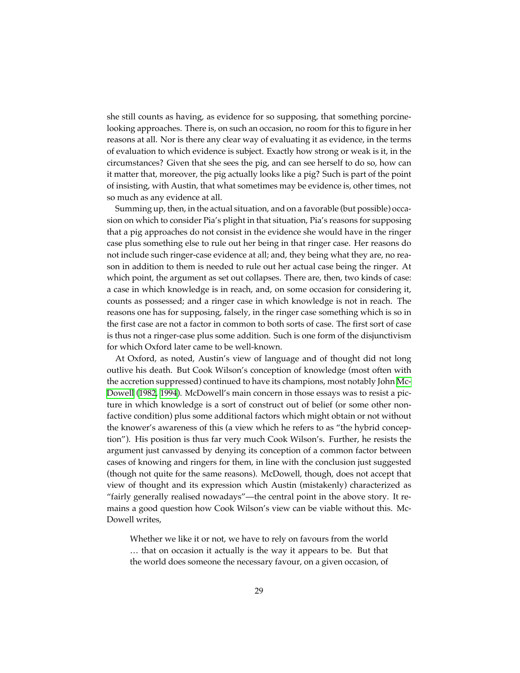<span id="page-28-0"></span>she still counts as having, as evidence for so supposing, that something porcinelooking approaches. There is, on such an occasion, no room for this to figure in her reasons at all. Nor is there any clear way of evaluating it as evidence, in the terms of evaluation to which evidence is subject. Exactly how strong or weak is it, in the circumstances? Given that she sees the pig, and can see herself to do so, how can it matter that, moreover, the pig actually looks like a pig? Such is part of the point of insisting, with Austin, that what sometimes may be evidence is, other times, not so much as any evidence at all.

Summing up, then, in the actual situation, and on a favorable (but possible) occasion on which to consider Pia's plight in that situation, Pia's reasons for supposing that a pig approaches do not consist in the evidence she would have in the ringer case plus something else to rule out her being in that ringer case. Her reasons do not include such ringer-case evidence at all; and, they being what they are, no reason in addition to them is needed to rule out her actual case being the ringer. At which point, the argument as set out collapses. There are, then, two kinds of case: a case in which knowledge is in reach, and, on some occasion for considering it, counts as possessed; and a ringer case in which knowledge is not in reach. The reasons one has for supposing, falsely, in the ringer case something which is so in the first case are not a factor in common to both sorts of case. The first sort of case is thus not a ringer-case plus some addition. Such is one form of the disjunctivism for which Oxford later came to be well-known.

At Oxford, as noted, Austin's view of language and of thought did not long outlive his death. But Cook Wilson's conception of knowledge (most often with the accretion suppressed) continued to have its champions, most notably John [Mc-](#page-46-7)[Dowell](#page-46-7) ([1982,](#page-46-7) [1994\)](#page-46-8). McDowell's main concern in those essays was to resist a picture in which knowledge is a sort of construct out of belief (or some other nonfactive condition) plus some additional factors which might obtain or not without the knower's awareness of this (a view which he refers to as "the hybrid conception"). His position is thus far very much Cook Wilson's. Further, he resists the argument just canvassed by denying its conception of a common factor between cases of knowing and ringers for them, in line with the conclusion just suggested (though not quite for the same reasons). McDowell, though, does not accept that view of thought and its expression which Austin (mistakenly) characterized as "fairly generally realised nowadays"—the central point in the above story. It remains a good question how Cook Wilson's view can be viable without this. Mc-Dowell writes,

Whether we like it or not, we have to rely on favours from the world … that on occasion it actually is the way it appears to be. But that the world does someone the necessary favour, on a given occasion, of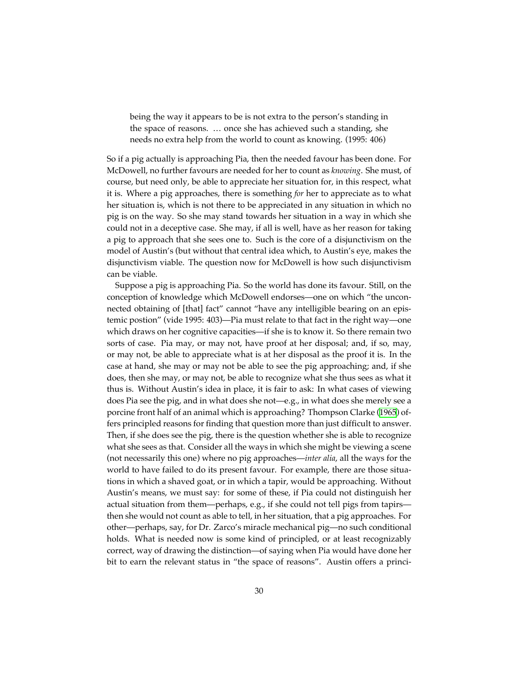<span id="page-29-0"></span>being the way it appears to be is not extra to the person's standing in the space of reasons. … once she has achieved such a standing, she needs no extra help from the world to count as knowing. (1995: 406)

So if a pig actually is approaching Pia, then the needed favour has been done. For McDowell, no further favours are needed for her to count as *knowing*. She must, of course, but need only, be able to appreciate her situation for, in this respect, what it is. Where a pig approaches, there is something *for* her to appreciate as to what her situation is, which is not there to be appreciated in any situation in which no pig is on the way. So she may stand towards her situation in a way in which she could not in a deceptive case. She may, if all is well, have as her reason for taking a pig to approach that she sees one to. Such is the core of a disjunctivism on the model of Austin's (but without that central idea which, to Austin's eye, makes the disjunctivism viable. The question now for McDowell is how such disjunctivism can be viable.

Suppose a pig is approaching Pia. So the world has done its favour. Still, on the conception of knowledge which McDowell endorses—one on which "the unconnected obtaining of [that] fact" cannot "have any intelligible bearing on an epistemic postion" (vide 1995: 403)—Pia must relate to that fact in the right way—one which draws on her cognitive capacities—if she is to know it. So there remain two sorts of case. Pia may, or may not, have proof at her disposal; and, if so, may, or may not, be able to appreciate what is at her disposal as the proof it is. In the case at hand, she may or may not be able to see the pig approaching; and, if she does, then she may, or may not, be able to recognize what she thus sees as what it thus is. Without Austin's idea in place, it is fair to ask: In what cases of viewing does Pia see the pig, and in what does she not—e.g., in what does she merely see a porcine front half of an animal which is approaching? Thompson Clarke([1965\)](#page-45-4) offers principled reasons for finding that question more than just difficult to answer. Then, if she does see the pig, there is the question whether she is able to recognize what she sees as that. Consider all the ways in which she might be viewing a scene (not necessarily this one) where no pig approaches—*inter alia*, all the ways for the world to have failed to do its present favour. For example, there are those situations in which a shaved goat, or in which a tapir, would be approaching. Without Austin's means, we must say: for some of these, if Pia could not distinguish her actual situation from them—perhaps, e.g., if she could not tell pigs from tapirs then she would not count as able to tell, in her situation, that a pig approaches. For other—perhaps, say, for Dr. Zarco's miracle mechanical pig—no such conditional holds. What is needed now is some kind of principled, or at least recognizably correct, way of drawing the distinction—of saying when Pia would have done her bit to earn the relevant status in "the space of reasons". Austin offers a princi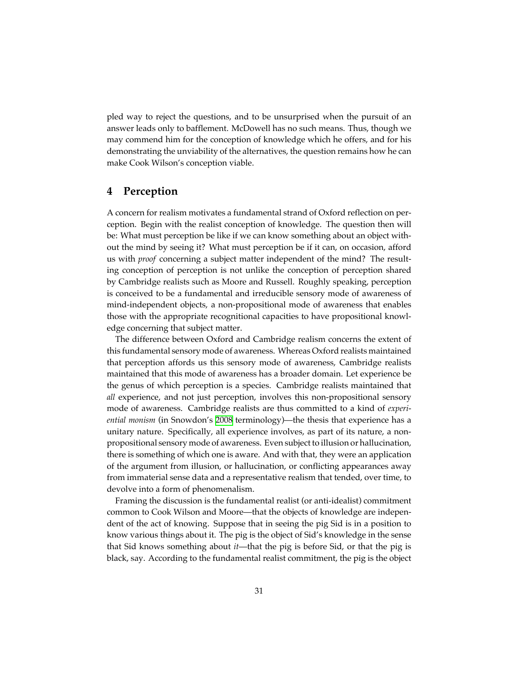<span id="page-30-1"></span>pled way to reject the questions, and to be unsurprised when the pursuit of an answer leads only to bafflement. McDowell has no such means. Thus, though we may commend him for the conception of knowledge which he offers, and for his demonstrating the unviability of the alternatives, the question remains how he can make Cook Wilson's conception viable.

### <span id="page-30-0"></span>**4 Perception**

A concern for realism motivates a fundamental strand of Oxford reflection on perception. Begin with the realist conception of knowledge. The question then will be: What must perception be like if we can know something about an object without the mind by seeing it? What must perception be if it can, on occasion, afford us with *proof* concerning a subject matter independent of the mind? The resulting conception of perception is not unlike the conception of perception shared by Cambridge realists such as Moore and Russell. Roughly speaking, perception is conceived to be a fundamental and irreducible sensory mode of awareness of mind-independent objects, a non-propositional mode of awareness that enables those with the appropriate recognitional capacities to have propositional knowledge concerning that subject matter.

The difference between Oxford and Cambridge realism concerns the extent of this fundamental sensory mode of awareness. Whereas Oxford realists maintained that perception affords us this sensory mode of awareness, Cambridge realists maintained that this mode of awareness has a broader domain. Let experience be the genus of which perception is a species. Cambridge realists maintained that *all* experience, and not just perception, involves this non-propositional sensory mode of awareness. Cambridge realists are thus committed to a kind of *experiential monism* (in Snowdon's [2008](#page-47-3) terminology)—the thesis that experience has a unitary nature. Specifically, all experience involves, as part of its nature, a nonpropositional sensory mode of awareness. Even subject to illusion or hallucination, there is something of which one is aware. And with that, they were an application of the argument from illusion, or hallucination, or conflicting appearances away from immaterial sense data and a representative realism that tended, over time, to devolve into a form of phenomenalism.

Framing the discussion is the fundamental realist (or anti-idealist) commitment common to Cook Wilson and Moore—that the objects of knowledge are independent of the act of knowing. Suppose that in seeing the pig Sid is in a position to know various things about it. The pig is the object of Sid's knowledge in the sense that Sid knows something about *it*—that the pig is before Sid, or that the pig is black, say. According to the fundamental realist commitment, the pig is the object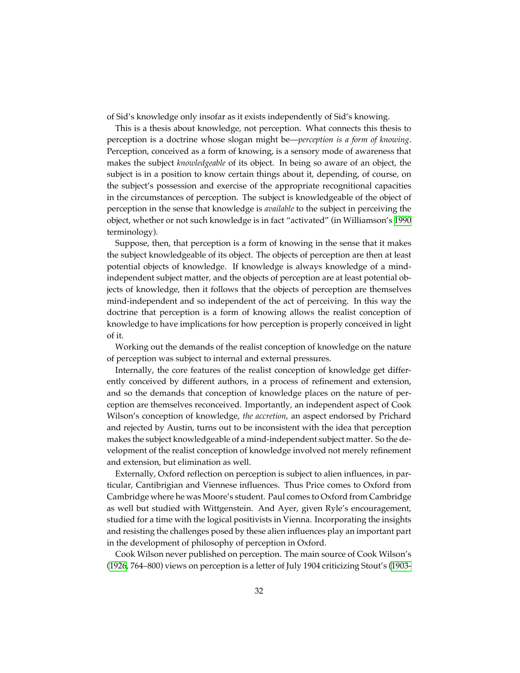<span id="page-31-0"></span>of Sid's knowledge only insofar as it exists independently of Sid's knowing.

This is a thesis about knowledge, not perception. What connects this thesis to perception is a doctrine whose slogan might be—*perception is a form of knowing*. Perception, conceived as a form of knowing, is a sensory mode of awareness that makes the subject *knowledgeable* of its object. In being so aware of an object, the subject is in a position to know certain things about it, depending, of course, on the subject's possession and exercise of the appropriate recognitional capacities in the circumstances of perception. The subject is knowledgeable of the object of perception in the sense that knowledge is *available* to the subject in perceiving the object, whether or not such knowledge is in fact "activated" (in Williamson's [1990](#page-47-4) terminology).

Suppose, then, that perception is a form of knowing in the sense that it makes the subject knowledgeable of its object. The objects of perception are then at least potential objects of knowledge. If knowledge is always knowledge of a mindindependent subject matter, and the objects of perception are at least potential objects of knowledge, then it follows that the objects of perception are themselves mind-independent and so independent of the act of perceiving. In this way the doctrine that perception is a form of knowing allows the realist conception of knowledge to have implications for how perception is properly conceived in light of it.

Working out the demands of the realist conception of knowledge on the nature of perception was subject to internal and external pressures.

Internally, the core features of the realist conception of knowledge get differently conceived by different authors, in a process of refinement and extension, and so the demands that conception of knowledge places on the nature of perception are themselves reconceived. Importantly, an independent aspect of Cook Wilson's conception of knowledge, *the accretion*, an aspect endorsed by Prichard and rejected by Austin, turns out to be inconsistent with the idea that perception makes the subject knowledgeable of a mind-independent subject matter. So the development of the realist conception of knowledge involved not merely refinement and extension, but elimination as well.

Externally, Oxford reflection on perception is subject to alien influences, in particular, Cantibrigian and Viennese influences. Thus Price comes to Oxford from Cambridge where he was Moore's student. Paul comes to Oxford from Cambridge as well but studied with Wittgenstein. And Ayer, given Ryle's encouragement, studied for a time with the logical positivists in Vienna. Incorporating the insights and resisting the challenges posed by these alien influences play an important part in the development of philosophy of perception in Oxford.

Cook Wilson never published on perception. The main source of Cook Wilson's [\(1926](#page-45-1), 764–800) views on perception is a letter of July 1904 criticizing Stout's [\(1903-](#page-47-5)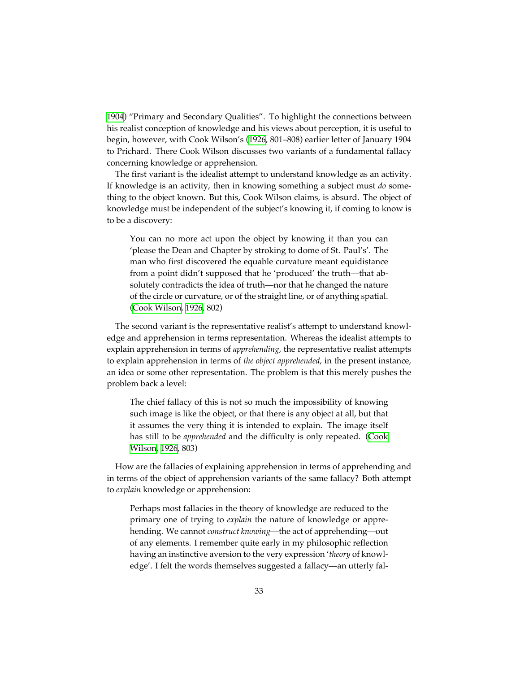<span id="page-32-0"></span>[1904\)](#page-47-5) "Primary and Secondary Qualities". To highlight the connections between his realist conception of knowledge and his views about perception, it is useful to begin, however, with Cook Wilson's [\(1926](#page-45-1), 801–808) earlier letter of January 1904 to Prichard. There Cook Wilson discusses two variants of a fundamental fallacy concerning knowledge or apprehension.

The first variant is the idealist attempt to understand knowledge as an activity. If knowledge is an activity, then in knowing something a subject must *do* something to the object known. But this, Cook Wilson claims, is absurd. The object of knowledge must be independent of the subject's knowing it, if coming to know is to be a discovery:

You can no more act upon the object by knowing it than you can 'please the Dean and Chapter by stroking to dome of St. Paul's'. The man who first discovered the equable curvature meant equidistance from a point didn't supposed that he 'produced' the truth—that absolutely contradicts the idea of truth—nor that he changed the nature of the circle or curvature, or of the straight line, or of anything spatial. [\(Cook Wilson,](#page-45-1) [1926,](#page-45-1) 802)

The second variant is the representative realist's attempt to understand knowledge and apprehension in terms representation. Whereas the idealist attempts to explain apprehension in terms of *apprehending*, the representative realist attempts to explain apprehension in terms of *the object apprehended*, in the present instance, an idea or some other representation. The problem is that this merely pushes the problem back a level:

The chief fallacy of this is not so much the impossibility of knowing such image is like the object, or that there is any object at all, but that it assumes the very thing it is intended to explain. The image itself has still to be *apprehended* and the difficulty is only repeated.([Cook](#page-45-1) [Wilson](#page-45-1), [1926](#page-45-1), 803)

How are the fallacies of explaining apprehension in terms of apprehending and in terms of the object of apprehension variants of the same fallacy? Both attempt to *explain* knowledge or apprehension:

Perhaps most fallacies in the theory of knowledge are reduced to the primary one of trying to *explain* the nature of knowledge or apprehending. We cannot *construct knowing*—the act of apprehending—out of any elements. I remember quite early in my philosophic reflection having an instinctive aversion to the very expression '*theory* of knowledge'. I felt the words themselves suggested a fallacy—an utterly fal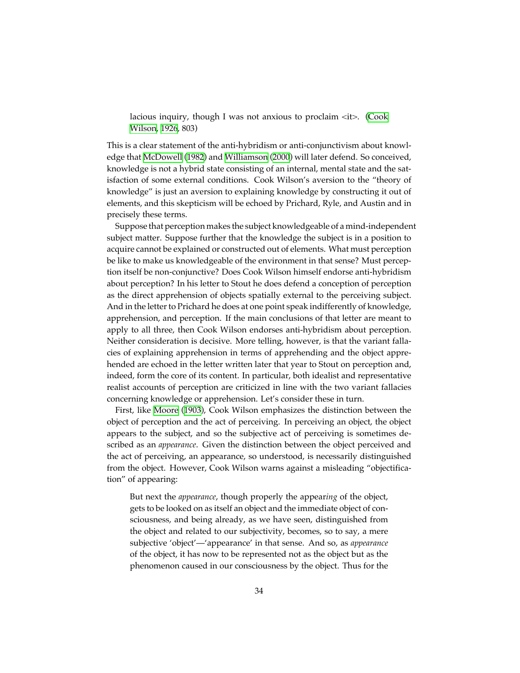<span id="page-33-0"></span>laciousinquiry, though I was not anxious to proclaim  $\langle$ it $\rangle$ . ([Cook](#page-45-1) [Wilson](#page-45-1), [1926](#page-45-1), 803)

This is a clear statement of the anti-hybridism or anti-conjunctivism about knowledge that [McDowell](#page-46-7) [\(1982](#page-46-7)) and [Williamson](#page-47-6) [\(2000](#page-47-6)) will later defend. So conceived, knowledge is not a hybrid state consisting of an internal, mental state and the satisfaction of some external conditions. Cook Wilson's aversion to the "theory of knowledge" is just an aversion to explaining knowledge by constructing it out of elements, and this skepticism will be echoed by Prichard, Ryle, and Austin and in precisely these terms.

Suppose that perception makes the subject knowledgeable of a mind-independent subject matter. Suppose further that the knowledge the subject is in a position to acquire cannot be explained or constructed out of elements. What must perception be like to make us knowledgeable of the environment in that sense? Must perception itself be non-conjunctive? Does Cook Wilson himself endorse anti-hybridism about perception? In his letter to Stout he does defend a conception of perception as the direct apprehension of objects spatially external to the perceiving subject. And in the letter to Prichard he does at one point speak indifferently of knowledge, apprehension, and perception. If the main conclusions of that letter are meant to apply to all three, then Cook Wilson endorses anti-hybridism about perception. Neither consideration is decisive. More telling, however, is that the variant fallacies of explaining apprehension in terms of apprehending and the object apprehended are echoed in the letter written later that year to Stout on perception and, indeed, form the core of its content. In particular, both idealist and representative realist accounts of perception are criticized in line with the two variant fallacies concerning knowledge or apprehension. Let's consider these in turn.

First, like [Moore](#page-46-3) ([1903\)](#page-46-3), Cook Wilson emphasizes the distinction between the object of perception and the act of perceiving. In perceiving an object, the object appears to the subject, and so the subjective act of perceiving is sometimes described as an *appearance*. Given the distinction between the object perceived and the act of perceiving, an appearance, so understood, is necessarily distinguished from the object. However, Cook Wilson warns against a misleading "objectification" of appearing:

But next the *appearance*, though properly the appear*ing* of the object, gets to be looked on as itself an object and the immediate object of consciousness, and being already, as we have seen, distinguished from the object and related to our subjectivity, becomes, so to say, a mere subjective 'object'—'appearance' in that sense. And so, as *appearance* of the object, it has now to be represented not as the object but as the phenomenon caused in our consciousness by the object. Thus for the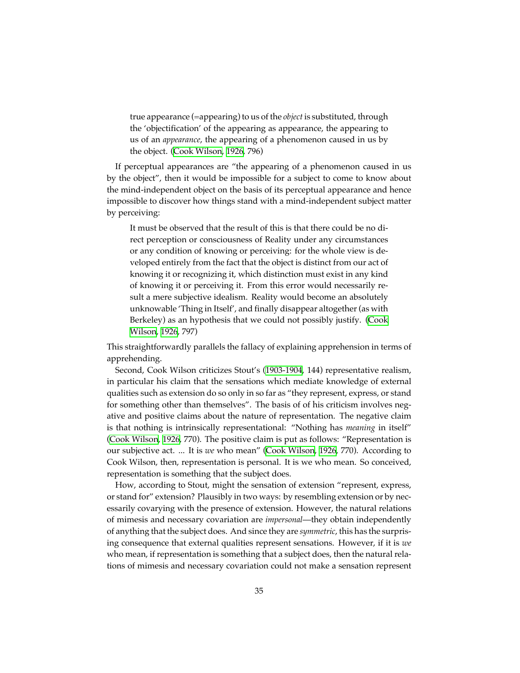<span id="page-34-0"></span>true appearance (=appearing) to us of the *object* is substituted, through the 'objectification' of the appearing as appearance, the appearing to us of an *appearance*, the appearing of a phenomenon caused in us by the object. [\(Cook Wilson,](#page-45-1) [1926,](#page-45-1) 796)

If perceptual appearances are "the appearing of a phenomenon caused in us by the object", then it would be impossible for a subject to come to know about the mind-independent object on the basis of its perceptual appearance and hence impossible to discover how things stand with a mind-independent subject matter by perceiving:

It must be observed that the result of this is that there could be no direct perception or consciousness of Reality under any circumstances or any condition of knowing or perceiving: for the whole view is developed entirely from the fact that the object is distinct from our act of knowing it or recognizing it, which distinction must exist in any kind of knowing it or perceiving it. From this error would necessarily result a mere subjective idealism. Reality would become an absolutely unknowable 'Thing in Itself', and finally disappear altogether (as with Berkeley) as an hypothesis that we could not possibly justify.([Cook](#page-45-1) [Wilson](#page-45-1), [1926](#page-45-1), 797)

This straightforwardly parallels the fallacy of explaining apprehension in terms of apprehending.

Second, Cook Wilson criticizes Stout's([1903-1904](#page-47-5), 144) representative realism, in particular his claim that the sensations which mediate knowledge of external qualities such as extension do so only in so far as "they represent, express, or stand for something other than themselves". The basis of of his criticism involves negative and positive claims about the nature of representation. The negative claim is that nothing is intrinsically representational: "Nothing has *meaning* in itself" [\(Cook Wilson,](#page-45-1) [1926,](#page-45-1) 770). The positive claim is put as follows: "Representation is our subjective act. ... It is *we* who mean" [\(Cook Wilson,](#page-45-1) [1926](#page-45-1), 770). According to Cook Wilson, then, representation is personal. It is we who mean. So conceived, representation is something that the subject does.

How, according to Stout, might the sensation of extension "represent, express, or stand for" extension? Plausibly in two ways: by resembling extension or by necessarily covarying with the presence of extension. However, the natural relations of mimesis and necessary covariation are *impersonal*—they obtain independently of anything that the subject does. And since they are *symmetric*, this has the surprising consequence that external qualities represent sensations. However, if it is *we* who mean, if representation is something that a subject does, then the natural relations of mimesis and necessary covariation could not make a sensation represent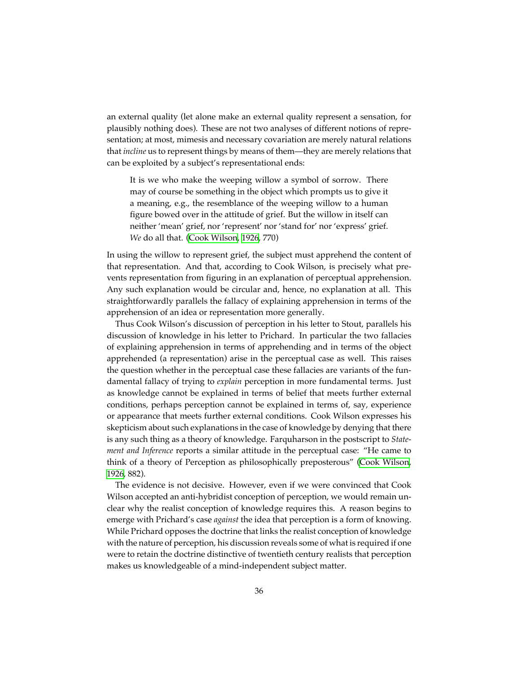<span id="page-35-0"></span>an external quality (let alone make an external quality represent a sensation, for plausibly nothing does). These are not two analyses of different notions of representation; at most, mimesis and necessary covariation are merely natural relations that *incline* us to represent things by means of them—they are merely relations that can be exploited by a subject's representational ends:

It is we who make the weeping willow a symbol of sorrow. There may of course be something in the object which prompts us to give it a meaning, e.g., the resemblance of the weeping willow to a human figure bowed over in the attitude of grief. But the willow in itself can neither 'mean' grief, nor 'represent' nor 'stand for' nor 'express' grief. *We* do all that. [\(Cook Wilson,](#page-45-1) [1926,](#page-45-1) 770)

In using the willow to represent grief, the subject must apprehend the content of that representation. And that, according to Cook Wilson, is precisely what prevents representation from figuring in an explanation of perceptual apprehension. Any such explanation would be circular and, hence, no explanation at all. This straightforwardly parallels the fallacy of explaining apprehension in terms of the apprehension of an idea or representation more generally.

Thus Cook Wilson's discussion of perception in his letter to Stout, parallels his discussion of knowledge in his letter to Prichard. In particular the two fallacies of explaining apprehension in terms of apprehending and in terms of the object apprehended (a representation) arise in the perceptual case as well. This raises the question whether in the perceptual case these fallacies are variants of the fundamental fallacy of trying to *explain* perception in more fundamental terms. Just as knowledge cannot be explained in terms of belief that meets further external conditions, perhaps perception cannot be explained in terms of, say, experience or appearance that meets further external conditions. Cook Wilson expresses his skepticism about such explanations in the case of knowledge by denying that there is any such thing as a theory of knowledge. Farquharson in the postscript to *Statement and Inference* reports a similar attitude in the perceptual case: "He came to think of a theory of Perception as philosophically preposterous"([Cook Wilson,](#page-45-1) [1926,](#page-45-1) 882).

The evidence is not decisive. However, even if we were convinced that Cook Wilson accepted an anti-hybridist conception of perception, we would remain unclear why the realist conception of knowledge requires this. A reason begins to emerge with Prichard's case *against* the idea that perception is a form of knowing. While Prichard opposes the doctrine that links the realist conception of knowledge with the nature of perception, his discussion reveals some of what is required if one were to retain the doctrine distinctive of twentieth century realists that perception makes us knowledgeable of a mind-independent subject matter.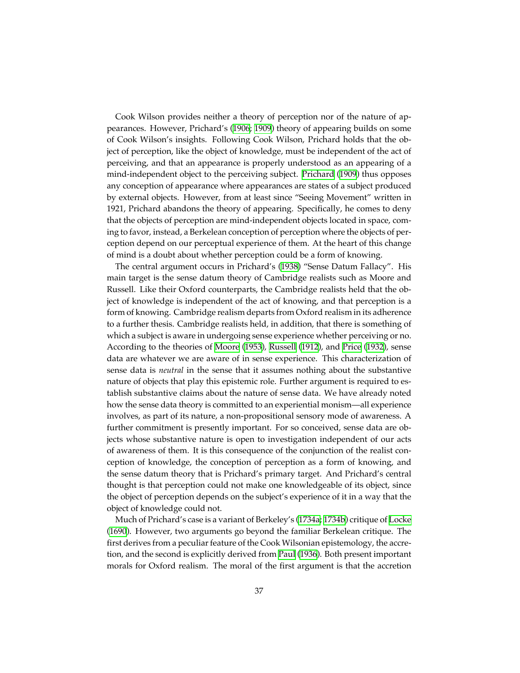<span id="page-36-0"></span>Cook Wilson provides neither a theory of perception nor of the nature of appearances. However, Prichard's [\(1906](#page-46-9); [1909\)](#page-46-1) theory of appearing builds on some of Cook Wilson's insights. Following Cook Wilson, Prichard holds that the object of perception, like the object of knowledge, must be independent of the act of perceiving, and that an appearance is properly understood as an appearing of a mind-independent object to the perceiving subject. [Prichard](#page-46-1) [\(1909\)](#page-46-1) thus opposes any conception of appearance where appearances are states of a subject produced by external objects. However, from at least since "Seeing Movement" written in 1921, Prichard abandons the theory of appearing. Specifically, he comes to deny that the objects of perception are mind-independent objects located in space, coming to favor, instead, a Berkelean conception of perception where the objects of perception depend on our perceptual experience of them. At the heart of this change of mind is a doubt about whether perception could be a form of knowing.

The central argument occurs in Prichard's([1938\)](#page-46-4) "Sense Datum Fallacy". His main target is the sense datum theory of Cambridge realists such as Moore and Russell. Like their Oxford counterparts, the Cambridge realists held that the object of knowledge is independent of the act of knowing, and that perception is a form of knowing. Cambridge realism departs from Oxford realism in its adherence to a further thesis. Cambridge realists held, in addition, that there is something of which a subject is aware in undergoing sense experience whether perceiving or no. According to the theories of [Moore](#page-46-10) [\(1953](#page-46-10)), [Russell](#page-47-7) [\(1912\)](#page-47-7), and [Price](#page-46-11) ([1932\)](#page-46-11), sense data are whatever we are aware of in sense experience. This characterization of sense data is *neutral* in the sense that it assumes nothing about the substantive nature of objects that play this epistemic role. Further argument is required to establish substantive claims about the nature of sense data. We have already noted how the sense data theory is committed to an experiential monism—all experience involves, as part of its nature, a non-propositional sensory mode of awareness. A further commitment is presently important. For so conceived, sense data are objects whose substantive nature is open to investigation independent of our acts of awareness of them. It is this consequence of the conjunction of the realist conception of knowledge, the conception of perception as a form of knowing, and the sense datum theory that is Prichard's primary target. And Prichard's central thought is that perception could not make one knowledgeable of its object, since the object of perception depends on the subject's experience of it in a way that the object of knowledge could not.

Much of Prichard's case is a variant of Berkeley's([1734a;](#page-45-5) [1734b\)](#page-45-6) critique of [Locke](#page-46-5) [\(1690](#page-46-5)). However, two arguments go beyond the familiar Berkelean critique. The first derives from a peculiar feature of the Cook Wilsonian epistemology, the accretion, and the second is explicitly derived from [Paul](#page-46-12) [\(1936](#page-46-12)). Both present important morals for Oxford realism. The moral of the first argument is that the accretion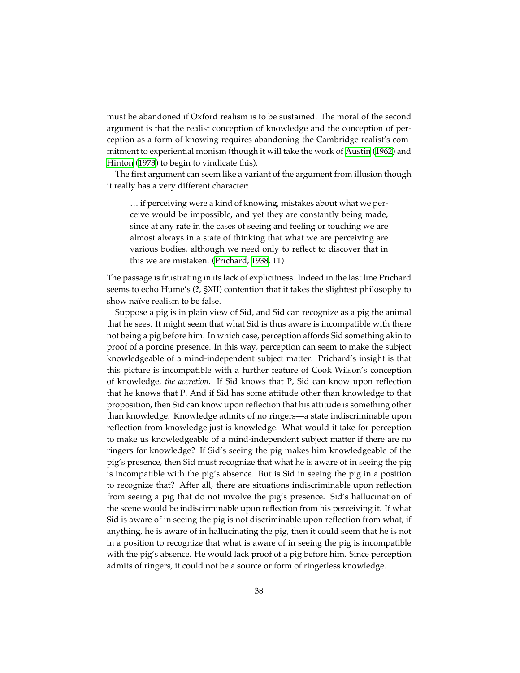<span id="page-37-0"></span>must be abandoned if Oxford realism is to be sustained. The moral of the second argument is that the realist conception of knowledge and the conception of perception as a form of knowing requires abandoning the Cambridge realist's commitment to experiential monism (though it will take the work of [Austin](#page-45-2) [\(1962](#page-45-2)) and [Hinton](#page-46-13) [\(1973](#page-46-13)) to begin to vindicate this).

The first argument can seem like a variant of the argument from illusion though it really has a very different character:

… if perceiving were a kind of knowing, mistakes about what we perceive would be impossible, and yet they are constantly being made, since at any rate in the cases of seeing and feeling or touching we are almost always in a state of thinking that what we are perceiving are various bodies, although we need only to reflect to discover that in this we are mistaken. [\(Prichard](#page-46-4), [1938](#page-46-4), 11)

The passage is frustrating in its lack of explicitness. Indeed in the last line Prichard seems to echo Hume's (**?**, §XII) contention that it takes the slightest philosophy to show naïve realism to be false.

Suppose a pig is in plain view of Sid, and Sid can recognize as a pig the animal that he sees. It might seem that what Sid is thus aware is incompatible with there not being a pig before him. In which case, perception affords Sid something akin to proof of a porcine presence. In this way, perception can seem to make the subject knowledgeable of a mind-independent subject matter. Prichard's insight is that this picture is incompatible with a further feature of Cook Wilson's conception of knowledge, *the accretion*. If Sid knows that P, Sid can know upon reflection that he knows that P. And if Sid has some attitude other than knowledge to that proposition, then Sid can know upon reflection that his attitude is something other than knowledge. Knowledge admits of no ringers—a state indiscriminable upon reflection from knowledge just is knowledge. What would it take for perception to make us knowledgeable of a mind-independent subject matter if there are no ringers for knowledge? If Sid's seeing the pig makes him knowledgeable of the pig's presence, then Sid must recognize that what he is aware of in seeing the pig is incompatible with the pig's absence. But is Sid in seeing the pig in a position to recognize that? After all, there are situations indiscriminable upon reflection from seeing a pig that do not involve the pig's presence. Sid's hallucination of the scene would be indiscirminable upon reflection from his perceiving it. If what Sid is aware of in seeing the pig is not discriminable upon reflection from what, if anything, he is aware of in hallucinating the pig, then it could seem that he is not in a position to recognize that what is aware of in seeing the pig is incompatible with the pig's absence. He would lack proof of a pig before him. Since perception admits of ringers, it could not be a source or form of ringerless knowledge.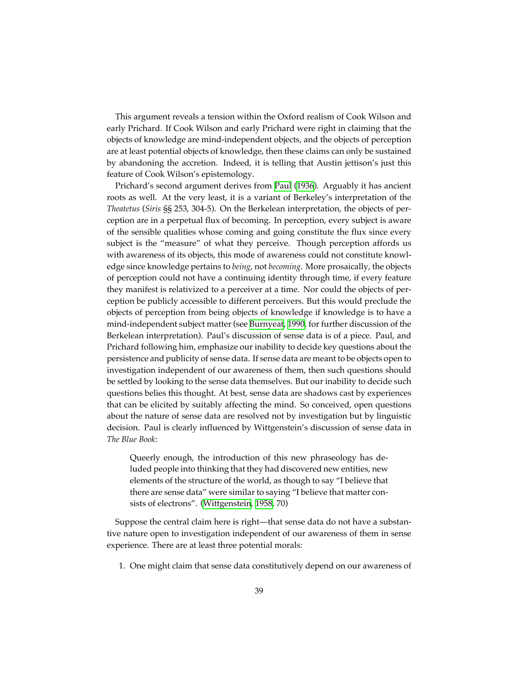<span id="page-38-0"></span>This argument reveals a tension within the Oxford realism of Cook Wilson and early Prichard. If Cook Wilson and early Prichard were right in claiming that the objects of knowledge are mind-independent objects, and the objects of perception are at least potential objects of knowledge, then these claims can only be sustained by abandoning the accretion. Indeed, it is telling that Austin jettison's just this feature of Cook Wilson's epistemology.

Prichard's second argument derives from [Paul](#page-46-12) ([1936\)](#page-46-12). Arguably it has ancient roots as well. At the very least, it is a variant of Berkeley's interpretation of the *Theatetus* (*Siris* §§ 253, 304-5). On the Berkelean interpretation, the objects of perception are in a perpetual flux of becoming. In perception, every subject is aware of the sensible qualities whose coming and going constitute the flux since every subject is the "measure" of what they perceive. Though perception affords us with awareness of its objects, this mode of awareness could not constitute knowledge since knowledge pertains to *being*, not *becoming*. More prosaically, the objects of perception could not have a continuing identity through time, if every feature they manifest is relativized to a perceiver at a time. Nor could the objects of perception be publicly accessible to different perceivers. But this would preclude the objects of perception from being objects of knowledge if knowledge is to have a mind-independent subject matter (see [Burnyeat](#page-45-7), [1990,](#page-45-7) for further discussion of the Berkelean interpretation). Paul's discussion of sense data is of a piece. Paul, and Prichard following him, emphasize our inability to decide key questions about the persistence and publicity of sense data. If sense data are meant to be objects open to investigation independent of our awareness of them, then such questions should be settled by looking to the sense data themselves. But our inability to decide such questions belies this thought. At best, sense data are shadows cast by experiences that can be elicited by suitably affecting the mind. So conceived, open questions about the nature of sense data are resolved not by investigation but by linguistic decision. Paul is clearly influenced by Wittgenstein's discussion of sense data in *The Blue Book*:

Queerly enough, the introduction of this new phraseology has deluded people into thinking that they had discovered new entities, new elements of the structure of the world, as though to say "I believe that there are sense data" were similar to saying "I believe that matter consists of electrons". [\(Wittgenstein,](#page-47-8) [1958,](#page-47-8) 70)

Suppose the central claim here is right—that sense data do not have a substantive nature open to investigation independent of our awareness of them in sense experience. There are at least three potential morals:

1. One might claim that sense data constitutively depend on our awareness of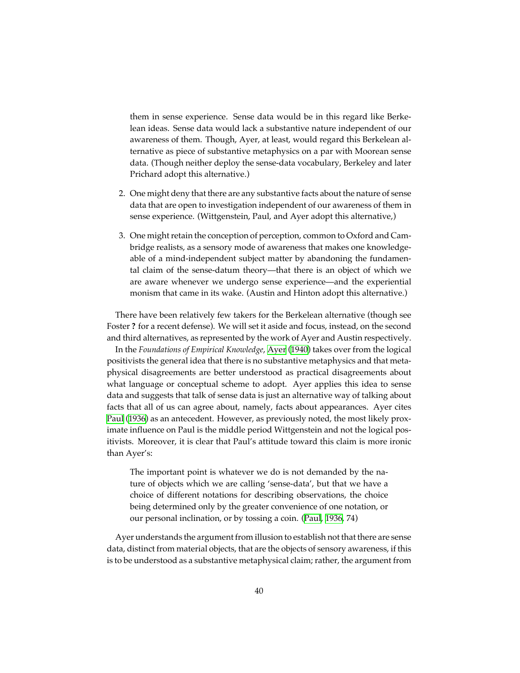<span id="page-39-0"></span>them in sense experience. Sense data would be in this regard like Berkelean ideas. Sense data would lack a substantive nature independent of our awareness of them. Though, Ayer, at least, would regard this Berkelean alternative as piece of substantive metaphysics on a par with Moorean sense data. (Though neither deploy the sense-data vocabulary, Berkeley and later Prichard adopt this alternative.)

- 2. One might deny that there are any substantive facts about the nature of sense data that are open to investigation independent of our awareness of them in sense experience. (Wittgenstein, Paul, and Ayer adopt this alternative,)
- 3. One might retain the conception of perception, common to Oxford and Cambridge realists, as a sensory mode of awareness that makes one knowledgeable of a mind-independent subject matter by abandoning the fundamental claim of the sense-datum theory—that there is an object of which we are aware whenever we undergo sense experience—and the experiential monism that came in its wake. (Austin and Hinton adopt this alternative.)

There have been relatively few takers for the Berkelean alternative (though see Foster **?** for a recent defense). We will set it aside and focus, instead, on the second and third alternatives, as represented by the work of Ayer and Austin respectively.

In the *Foundations of Empirical Knowledge*, [Ayer](#page-45-8) ([1940\)](#page-45-8) takes over from the logical positivists the general idea that there is no substantive metaphysics and that metaphysical disagreements are better understood as practical disagreements about what language or conceptual scheme to adopt. Ayer applies this idea to sense data and suggests that talk of sense data is just an alternative way of talking about facts that all of us can agree about, namely, facts about appearances. Ayer cites [Paul](#page-46-12) [\(1936](#page-46-12)) as an antecedent. However, as previously noted, the most likely proximate influence on Paul is the middle period Wittgenstein and not the logical positivists. Moreover, it is clear that Paul's attitude toward this claim is more ironic than Ayer's:

The important point is whatever we do is not demanded by the nature of objects which we are calling 'sense-data', but that we have a choice of different notations for describing observations, the choice being determined only by the greater convenience of one notation, or our personal inclination, or by tossing a coin. [\(Paul](#page-46-12), [1936](#page-46-12), 74)

Ayer understands the argument from illusion to establish not that there are sense data, distinct from material objects, that are the objects of sensory awareness, if this is to be understood as a substantive metaphysical claim; rather, the argument from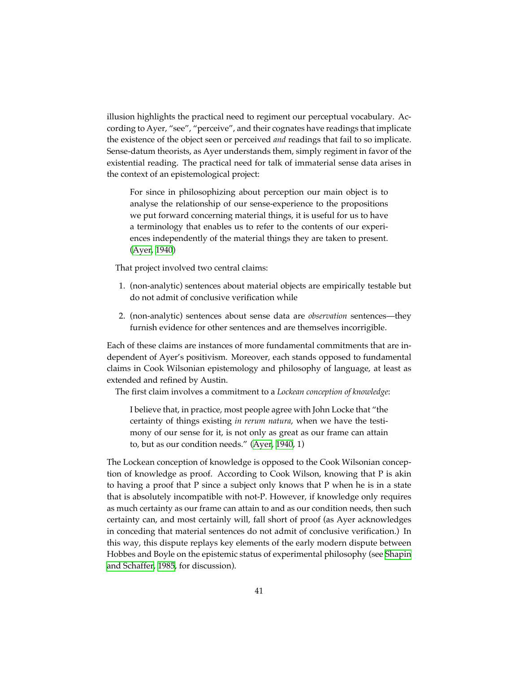<span id="page-40-0"></span>illusion highlights the practical need to regiment our perceptual vocabulary. According to Ayer, "see", "perceive", and their cognates have readings that implicate the existence of the object seen or perceived *and* readings that fail to so implicate. Sense-datum theorists, as Ayer understands them, simply regiment in favor of the existential reading. The practical need for talk of immaterial sense data arises in the context of an epistemological project:

For since in philosophizing about perception our main object is to analyse the relationship of our sense-experience to the propositions we put forward concerning material things, it is useful for us to have a terminology that enables us to refer to the contents of our experiences independently of the material things they are taken to present. [\(Ayer](#page-45-8), [1940](#page-45-8))

That project involved two central claims:

- 1. (non-analytic) sentences about material objects are empirically testable but do not admit of conclusive verification while
- 2. (non-analytic) sentences about sense data are *observation* sentences—they furnish evidence for other sentences and are themselves incorrigible.

Each of these claims are instances of more fundamental commitments that are independent of Ayer's positivism. Moreover, each stands opposed to fundamental claims in Cook Wilsonian epistemology and philosophy of language, at least as extended and refined by Austin.

The first claim involves a commitment to a *Lockean conception of knowledge*:

I believe that, in practice, most people agree with John Locke that "the certainty of things existing *in rerum natura*, when we have the testimony of our sense for it, is not only as great as our frame can attain to, but as our condition needs." [\(Ayer](#page-45-8), [1940](#page-45-8), 1)

The Lockean conception of knowledge is opposed to the Cook Wilsonian conception of knowledge as proof. According to Cook Wilson, knowing that P is akin to having a proof that P since a subject only knows that P when he is in a state that is absolutely incompatible with not-P. However, if knowledge only requires as much certainty as our frame can attain to and as our condition needs, then such certainty can, and most certainly will, fall short of proof (as Ayer acknowledges in conceding that material sentences do not admit of conclusive verification.) In this way, this dispute replays key elements of the early modern dispute between Hobbes and Boyle on the epistemic status of experimental philosophy (see [Shapin](#page-47-9) [and Schaffer](#page-47-9), [1985,](#page-47-9) for discussion).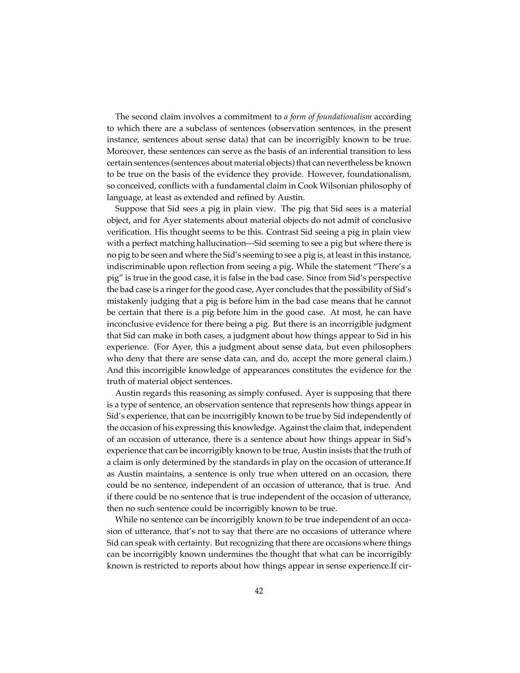The second claim involves a commitment to *a form of foundationalism* according to which there are a subclass of sentences (observation sentences, in the present instance, sentences about sense data) that can be incorrigibly known to be true. Moreover, these sentences can serve as the basis of an inferential transition to less certain sentences (sentences about material objects) that can nevertheless be known to be true on the basis of the evidence they provide. However, foundationalism, so conceived, conflicts with a fundamental claim in Cook Wilsonian philosophy of language, at least as extended and refined by Austin.

Suppose that Sid sees a pig in plain view. The pig that Sid sees is a material object, and for Ayer statements about material objects do not admit of conclusive verification. His thought seems to be this. Contrast Sid seeing a pig in plain view with a perfect matching hallucination—Sid seeming to see a pig but where there is no pig to be seen and where the Sid's seeming to see a pig is, at least in this instance, indiscriminable upon reflection from seeing a pig. While the statement "There's a pig" is true in the good case, it is false in the bad case. Since from Sid's perspective the bad case is a ringer for the good case, Ayer concludes that the possibility of Sid's mistakenly judging that a pig is before him in the bad case means that he cannot be certain that there is a pig before him in the good case. At most, he can have inconclusive evidence for there being a pig. But there is an incorrigible judgment that Sid can make in both cases, a judgment about how things appear to Sid in his experience. (For Ayer, this a judgment about sense data, but even philosophers who deny that there are sense data can, and do, accept the more general claim.) And this incorrigible knowledge of appearances constitutes the evidence for the truth of material object sentences.

Austin regards this reasoning as simply confused. Ayer is supposing that there is a type of sentence, an observation sentence that represents how things appear in Sid's experience, that can be incorrigibly known to be true by Sid independently of the occasion of his expressing this knowledge. Against the claim that, independent of an occasion of utterance, there is a sentence about how things appear in Sid's experience that can be incorrigibly known to be true, Austin insists that the truth of a claim is only determined by the standards in play on the occasion of utterance.If as Austin maintains, a sentence is only true when uttered on an occasion, there could be no sentence, independent of an occasion of utterance, that is true. And if there could be no sentence that is true independent of the occasion of utterance, then no such sentence could be incorrigibly known to be true.

While no sentence can be incorrigibly known to be true independent of an occasion of utterance, that's not to say that there are no occasions of utterance where Sid can speak with certainty. But recognizing that there are occasions where things can be incorrigibly known undermines the thought that what can be incorrigibly known is restricted to reports about how things appear in sense experience.If cir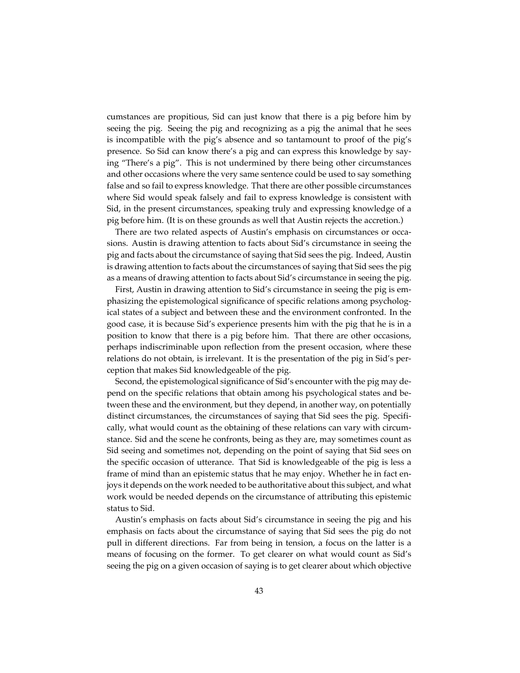cumstances are propitious, Sid can just know that there is a pig before him by seeing the pig. Seeing the pig and recognizing as a pig the animal that he sees is incompatible with the pig's absence and so tantamount to proof of the pig's presence. So Sid can know there's a pig and can express this knowledge by saying "There's a pig". This is not undermined by there being other circumstances and other occasions where the very same sentence could be used to say something false and so fail to express knowledge. That there are other possible circumstances where Sid would speak falsely and fail to express knowledge is consistent with Sid, in the present circumstances, speaking truly and expressing knowledge of a pig before him. (It is on these grounds as well that Austin rejects the accretion.)

There are two related aspects of Austin's emphasis on circumstances or occasions. Austin is drawing attention to facts about Sid's circumstance in seeing the pig and facts about the circumstance of saying that Sid sees the pig. Indeed, Austin is drawing attention to facts about the circumstances of saying that Sid sees the pig as a means of drawing attention to facts about Sid's circumstance in seeing the pig.

First, Austin in drawing attention to Sid's circumstance in seeing the pig is emphasizing the epistemological significance of specific relations among psychological states of a subject and between these and the environment confronted. In the good case, it is because Sid's experience presents him with the pig that he is in a position to know that there is a pig before him. That there are other occasions, perhaps indiscriminable upon reflection from the present occasion, where these relations do not obtain, is irrelevant. It is the presentation of the pig in Sid's perception that makes Sid knowledgeable of the pig.

Second, the epistemological significance of Sid's encounter with the pig may depend on the specific relations that obtain among his psychological states and between these and the environment, but they depend, in another way, on potentially distinct circumstances, the circumstances of saying that Sid sees the pig. Specifically, what would count as the obtaining of these relations can vary with circumstance. Sid and the scene he confronts, being as they are, may sometimes count as Sid seeing and sometimes not, depending on the point of saying that Sid sees on the specific occasion of utterance. That Sid is knowledgeable of the pig is less a frame of mind than an epistemic status that he may enjoy. Whether he in fact enjoys it depends on the work needed to be authoritative about this subject, and what work would be needed depends on the circumstance of attributing this epistemic status to Sid.

Austin's emphasis on facts about Sid's circumstance in seeing the pig and his emphasis on facts about the circumstance of saying that Sid sees the pig do not pull in different directions. Far from being in tension, a focus on the latter is a means of focusing on the former. To get clearer on what would count as Sid's seeing the pig on a given occasion of saying is to get clearer about which objective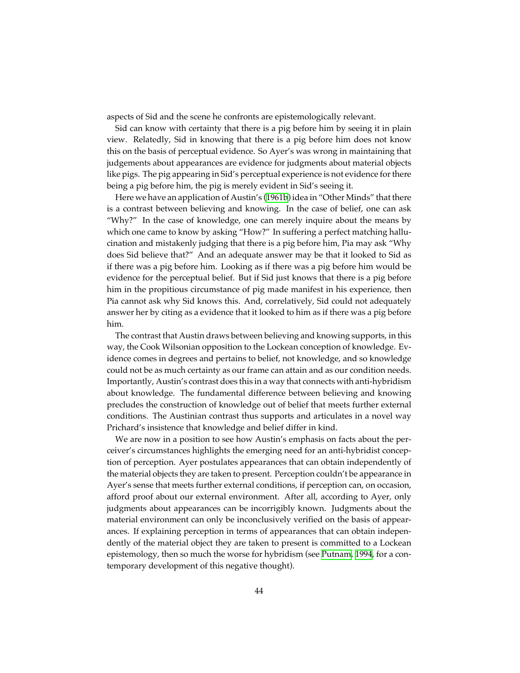<span id="page-43-0"></span>aspects of Sid and the scene he confronts are epistemologically relevant.

Sid can know with certainty that there is a pig before him by seeing it in plain view. Relatedly, Sid in knowing that there is a pig before him does not know this on the basis of perceptual evidence. So Ayer's was wrong in maintaining that judgements about appearances are evidence for judgments about material objects like pigs. The pig appearing in Sid's perceptual experience is not evidence for there being a pig before him, the pig is merely evident in Sid's seeing it.

Here we have an application of Austin's([1961b](#page-45-9)) idea in "Other Minds" that there is a contrast between believing and knowing. In the case of belief, one can ask "Why?" In the case of knowledge, one can merely inquire about the means by which one came to know by asking "How?" In suffering a perfect matching hallucination and mistakenly judging that there is a pig before him, Pia may ask "Why does Sid believe that?" And an adequate answer may be that it looked to Sid as if there was a pig before him. Looking as if there was a pig before him would be evidence for the perceptual belief. But if Sid just knows that there is a pig before him in the propitious circumstance of pig made manifest in his experience, then Pia cannot ask why Sid knows this. And, correlatively, Sid could not adequately answer her by citing as a evidence that it looked to him as if there was a pig before him.

The contrast that Austin draws between believing and knowing supports, in this way, the Cook Wilsonian opposition to the Lockean conception of knowledge. Evidence comes in degrees and pertains to belief, not knowledge, and so knowledge could not be as much certainty as our frame can attain and as our condition needs. Importantly, Austin's contrast does this in a way that connects with anti-hybridism about knowledge. The fundamental difference between believing and knowing precludes the construction of knowledge out of belief that meets further external conditions. The Austinian contrast thus supports and articulates in a novel way Prichard's insistence that knowledge and belief differ in kind.

We are now in a position to see how Austin's emphasis on facts about the perceiver's circumstances highlights the emerging need for an anti-hybridist conception of perception. Ayer postulates appearances that can obtain independently of the material objects they are taken to present. Perception couldn't be appearance in Ayer's sense that meets further external conditions, if perception can, on occasion, afford proof about our external environment. After all, according to Ayer, only judgments about appearances can be incorrigibly known. Judgments about the material environment can only be inconclusively verified on the basis of appearances. If explaining perception in terms of appearances that can obtain independently of the material object they are taken to present is committed to a Lockean epistemology, then so much the worse for hybridism (see [Putnam,](#page-47-10) [1994](#page-47-10), for a contemporary development of this negative thought).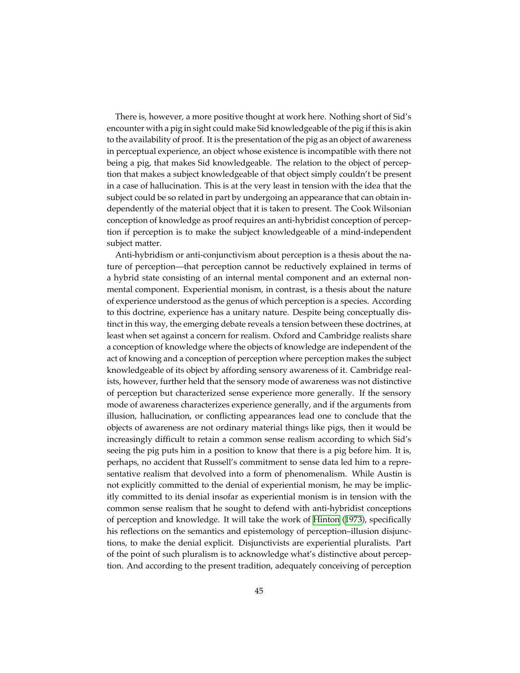<span id="page-44-0"></span>There is, however, a more positive thought at work here. Nothing short of Sid's encounter with a pig in sight could make Sid knowledgeable of the pig if this is akin to the availability of proof. It is the presentation of the pig as an object of awareness in perceptual experience, an object whose existence is incompatible with there not being a pig, that makes Sid knowledgeable. The relation to the object of perception that makes a subject knowledgeable of that object simply couldn't be present in a case of hallucination. This is at the very least in tension with the idea that the subject could be so related in part by undergoing an appearance that can obtain independently of the material object that it is taken to present. The Cook Wilsonian conception of knowledge as proof requires an anti-hybridist conception of perception if perception is to make the subject knowledgeable of a mind-independent subject matter.

Anti-hybridism or anti-conjunctivism about perception is a thesis about the nature of perception—that perception cannot be reductively explained in terms of a hybrid state consisting of an internal mental component and an external nonmental component. Experiential monism, in contrast, is a thesis about the nature of experience understood as the genus of which perception is a species. According to this doctrine, experience has a unitary nature. Despite being conceptually distinct in this way, the emerging debate reveals a tension between these doctrines, at least when set against a concern for realism. Oxford and Cambridge realists share a conception of knowledge where the objects of knowledge are independent of the act of knowing and a conception of perception where perception makes the subject knowledgeable of its object by affording sensory awareness of it. Cambridge realists, however, further held that the sensory mode of awareness was not distinctive of perception but characterized sense experience more generally. If the sensory mode of awareness characterizes experience generally, and if the arguments from illusion, hallucination, or conflicting appearances lead one to conclude that the objects of awareness are not ordinary material things like pigs, then it would be increasingly difficult to retain a common sense realism according to which Sid's seeing the pig puts him in a position to know that there is a pig before him. It is, perhaps, no accident that Russell's commitment to sense data led him to a representative realism that devolved into a form of phenomenalism. While Austin is not explicitly committed to the denial of experiential monism, he may be implicitly committed to its denial insofar as experiential monism is in tension with the common sense realism that he sought to defend with anti-hybridist conceptions of perception and knowledge. It will take the work of [Hinton](#page-46-13) [\(1973](#page-46-13)), specifically his reflections on the semantics and epistemology of perception–illusion disjunctions, to make the denial explicit. Disjunctivists are experiential pluralists. Part of the point of such pluralism is to acknowledge what's distinctive about perception. And according to the present tradition, adequately conceiving of perception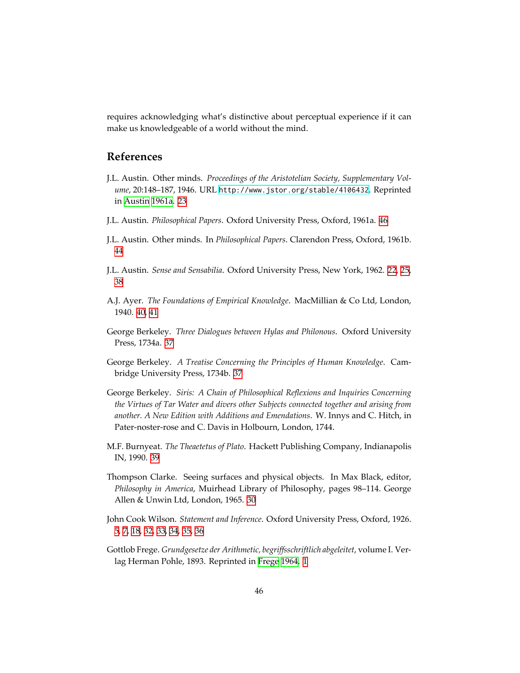<span id="page-45-11"></span>requires acknowledging what's distinctive about perceptual experience if it can make us knowledgeable of a world without the mind.

#### **References**

- <span id="page-45-3"></span>J.L. Austin. Other minds. *Proceedings of the Aristotelian Society, Supplementary Volume*, 20:148–187, 1946. URL <http://www.jstor.org/stable/4106432>. Reprinted in [Austin](#page-45-10) [1961a.](#page-45-10) [23](#page-22-0)
- <span id="page-45-10"></span>J.L. Austin. *Philosophical Papers*. Oxford University Press, Oxford, 1961a. [46](#page-45-11)
- <span id="page-45-9"></span>J.L. Austin. Other minds. In *Philosophical Papers*. Clarendon Press, Oxford, 1961b. [44](#page-43-0)
- <span id="page-45-2"></span>J.L. Austin. *Sense and Sensabilia*. Oxford University Press, New York, 1962. [22,](#page-21-0) [25,](#page-24-0) [38](#page-37-0)
- <span id="page-45-8"></span>A.J. Ayer. *The Foundations of Empirical Knowledge*. MacMillian & Co Ltd, London, 1940. [40,](#page-39-0) [41](#page-40-0)
- <span id="page-45-5"></span>George Berkeley. *Three Dialogues between Hylas and Philonous*. Oxford University Press, 1734a. [37](#page-36-0)
- <span id="page-45-6"></span>George Berkeley. *A Treatise Concerning the Principles of Human Knowledge*. Cambridge University Press, 1734b. [37](#page-36-0)
- George Berkeley. *Siris: A Chain of Philosophical Reflexions and Inquiries Concerning the Virtues of Tar Water and divers other Subjects connected together and arising from another. A New Edition with Additions and Emendations*. W. Innys and C. Hitch, in Pater-noster-rose and C. Davis in Holbourn, London, 1744.
- <span id="page-45-7"></span>M.F. Burnyeat. *The Theaetetus of Plato*. Hackett Publishing Company, Indianapolis IN, 1990. [39](#page-38-0)
- <span id="page-45-4"></span>Thompson Clarke. Seeing surfaces and physical objects. In Max Black, editor, *Philosophy in America*, Muirhead Library of Philosophy, pages 98–114. George Allen & Unwin Ltd, London, 1965. [30](#page-29-0)
- <span id="page-45-1"></span>John Cook Wilson. *Statement and Inference*. Oxford University Press, Oxford, 1926. [5,](#page-4-0) [7,](#page-6-0) [18,](#page-17-0) [32,](#page-31-0) [33,](#page-32-0) [34,](#page-33-0) [35,](#page-34-0) [36](#page-35-0)
- <span id="page-45-0"></span>Gottlob Frege. *Grundgesetze der Arithmetic, begriffsschriftlich abgeleitet*, volume I. Verlag Herman Pohle, 1893. Reprinted in [Frege](#page-46-14) [1964.](#page-46-14) [1](#page-0-0)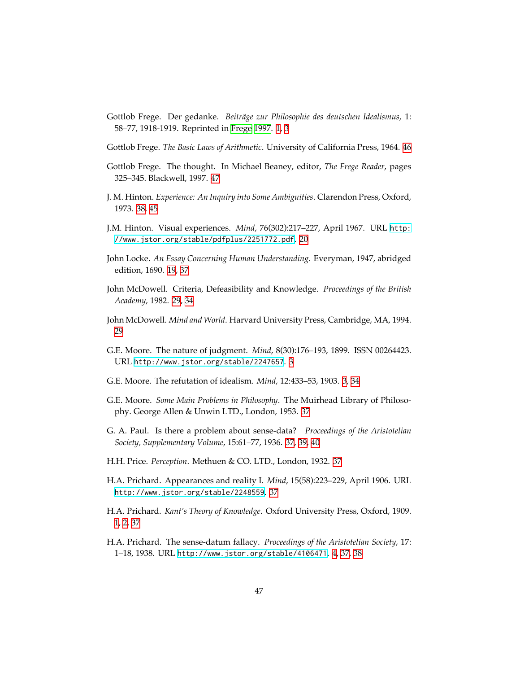- <span id="page-46-16"></span><span id="page-46-0"></span>Gottlob Frege. Der gedanke. *Beiträge zur Philosophie des deutschen Idealismus*, 1: 58–77, 1918-1919. Reprinted in [Frege](#page-46-15) [1997](#page-46-15). [1](#page-0-0), [3](#page-2-0)
- <span id="page-46-14"></span>Gottlob Frege. *The Basic Laws of Arithmetic*. University of California Press, 1964. [46](#page-45-11)
- <span id="page-46-15"></span>Gottlob Frege. The thought. In Michael Beaney, editor, *The Frege Reader*, pages 325–345. Blackwell, 1997. [47](#page-46-16)
- <span id="page-46-13"></span>J. M. Hinton. *Experience: An Inquiry into Some Ambiguities*. Clarendon Press, Oxford, 1973. [38,](#page-37-0) [45](#page-44-0)
- <span id="page-46-6"></span>J.M. Hinton. Visual experiences. *Mind*, 76(302):217–227, April 1967. URL [http:](http://www.jstor.org/stable/pdfplus/2251772.pdf) [//www.jstor.org/stable/pdfplus/2251772.pdf](http://www.jstor.org/stable/pdfplus/2251772.pdf). [20](#page-19-0)
- <span id="page-46-5"></span>John Locke. *An Essay Concerning Human Understanding*. Everyman, 1947, abridged edition, 1690. [19](#page-18-0), [37](#page-36-0)
- <span id="page-46-7"></span>John McDowell. Criteria, Defeasibility and Knowledge. *Proceedings of the British Academy*, 1982. [29,](#page-28-0) [34](#page-33-0)
- <span id="page-46-8"></span>John McDowell. *Mind and World*. Harvard University Press, Cambridge, MA, 1994. [29](#page-28-0)
- <span id="page-46-2"></span>G.E. Moore. The nature of judgment. *Mind*, 8(30):176–193, 1899. ISSN 00264423. URL <http://www.jstor.org/stable/2247657>. [3](#page-2-0)
- <span id="page-46-3"></span>G.E. Moore. The refutation of idealism. *Mind*, 12:433–53, 1903. [3](#page-2-0), [34](#page-33-0)
- <span id="page-46-10"></span>G.E. Moore. *Some Main Problems in Philosophy*. The Muirhead Library of Philosophy. George Allen & Unwin LTD., London, 1953. [37](#page-36-0)
- <span id="page-46-12"></span>G. A. Paul. Is there a problem about sense-data? *Proceedings of the Aristotelian Society, Supplementary Volume*, 15:61–77, 1936. [37,](#page-36-0) [39](#page-38-0), [40](#page-39-0)
- <span id="page-46-11"></span>H.H. Price. *Perception*. Methuen & CO. LTD., London, 1932. [37](#page-36-0)
- <span id="page-46-9"></span>H.A. Prichard. Appearances and reality I. *Mind*, 15(58):223–229, April 1906. URL <http://www.jstor.org/stable/2248559>. [37](#page-36-0)
- <span id="page-46-1"></span>H.A. Prichard. *Kant's Theory of Knowledge*. Oxford University Press, Oxford, 1909. [1,](#page-0-0) [2,](#page-1-0) [37](#page-36-0)
- <span id="page-46-4"></span>H.A. Prichard. The sense-datum fallacy. *Proceedings of the Aristotelian Society*, 17: 1–18, 1938. URL <http://www.jstor.org/stable/4106471>. [4](#page-3-0), [37](#page-36-0), [38](#page-37-0)